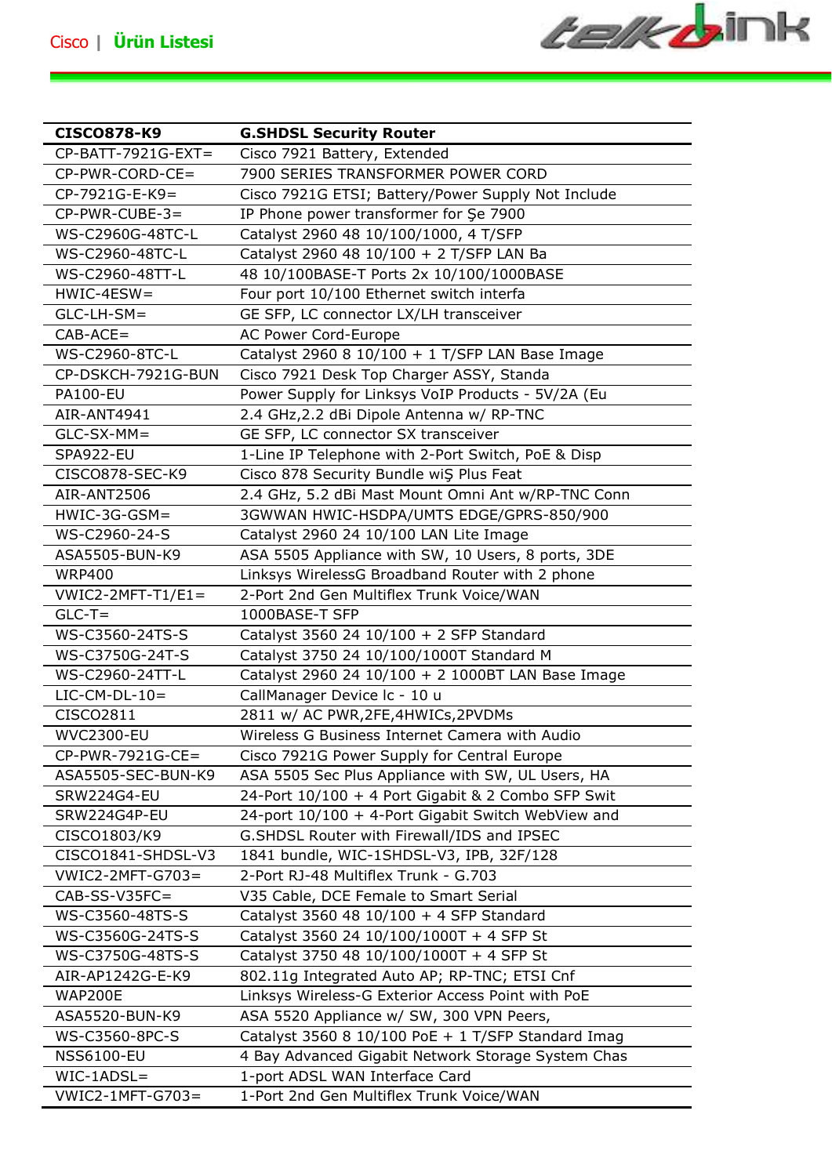**CEIK DINK** 

| CISCO878-K9         | <b>G.SHDSL Security Router</b>                     |
|---------------------|----------------------------------------------------|
| CP-BATT-7921G-EXT=  | Cisco 7921 Battery, Extended                       |
| $CP-PWR-CORD-CE=$   | 7900 SERIES TRANSFORMER POWER CORD                 |
| $CP-7921G-E-K9=$    | Cisco 7921G ETSI; Battery/Power Supply Not Include |
| $CP-PWR-CUBE-3=$    | IP Phone power transformer for Şe 7900             |
| WS-C2960G-48TC-L    | Catalyst 2960 48 10/100/1000, 4 T/SFP              |
| WS-C2960-48TC-L     | Catalyst 2960 48 10/100 + 2 T/SFP LAN Ba           |
| WS-C2960-48TT-L     | 48 10/100BASE-T Ports 2x 10/100/1000BASE           |
| $HWIC-4ESW =$       | Four port 10/100 Ethernet switch interfa           |
| $GLC-LH-SM=$        | GE SFP, LC connector LX/LH transceiver             |
| $CAB-ACE=$          | AC Power Cord-Europe                               |
| WS-C2960-8TC-L      | Catalyst 2960 8 10/100 + 1 T/SFP LAN Base Image    |
| CP-DSKCH-7921G-BUN  | Cisco 7921 Desk Top Charger ASSY, Standa           |
| <b>PA100-EU</b>     | Power Supply for Linksys VoIP Products - 5V/2A (Eu |
| AIR-ANT4941         | 2.4 GHz, 2.2 dBi Dipole Antenna w/ RP-TNC          |
| $GLC-SX-MM =$       | GE SFP, LC connector SX transceiver                |
| SPA922-EU           | 1-Line IP Telephone with 2-Port Switch, PoE & Disp |
| CISCO878-SEC-K9     | Cisco 878 Security Bundle wiS Plus Feat            |
| AIR-ANT2506         |                                                    |
|                     | 2.4 GHz, 5.2 dBi Mast Mount Omni Ant w/RP-TNC Conn |
| $HWIC-3G-GSM=$      | 3GWWAN HWIC-HSDPA/UMTS EDGE/GPRS-850/900           |
| WS-C2960-24-S       | Catalyst 2960 24 10/100 LAN Lite Image             |
| ASA5505-BUN-K9      | ASA 5505 Appliance with SW, 10 Users, 8 ports, 3DE |
| <b>WRP400</b>       | Linksys WirelessG Broadband Router with 2 phone    |
| $VWIC2-2MFT-T1/E1=$ | 2-Port 2nd Gen Multiflex Trunk Voice/WAN           |
| $GLC-T=$            | 1000BASE-T SFP                                     |
| WS-C3560-24TS-S     | Catalyst 3560 24 10/100 + 2 SFP Standard           |
| WS-C3750G-24T-S     | Catalyst 3750 24 10/100/1000T Standard M           |
| WS-C2960-24TT-L     | Catalyst 2960 24 10/100 + 2 1000BT LAN Base Image  |
| $LIC-CM-DL-10=$     | CallManager Device Ic - 10 u                       |
| CISCO2811           | 2811 w/ AC PWR, 2FE, 4HWICs, 2PVDMs                |
| <b>WVC2300-EU</b>   | Wireless G Business Internet Camera with Audio     |
| $CP-PWR-7921G-CE=$  | Cisco 7921G Power Supply for Central Europe        |
| ASA5505-SEC-BUN-K9  | ASA 5505 Sec Plus Appliance with SW, UL Users, HA  |
| <b>SRW224G4-EU</b>  | 24-Port 10/100 + 4 Port Gigabit & 2 Combo SFP Swit |
| SRW224G4P-EU        | 24-port 10/100 + 4-Port Gigabit Switch WebView and |
| CISCO1803/K9        | G.SHDSL Router with Firewall/IDS and IPSEC         |
| CISCO1841-SHDSL-V3  | 1841 bundle, WIC-1SHDSL-V3, IPB, 32F/128           |
| VWIC2-2MFT-G703=    | 2-Port RJ-48 Multiflex Trunk - G.703               |
| $CAB-SS-V35FC=$     | V35 Cable, DCE Female to Smart Serial              |
| WS-C3560-48TS-S     | Catalyst 3560 48 10/100 + 4 SFP Standard           |
| WS-C3560G-24TS-S    | Catalyst 3560 24 10/100/1000T + 4 SFP St           |
| WS-C3750G-48TS-S    | Catalyst 3750 48 10/100/1000T + 4 SFP St           |
| AIR-AP1242G-E-K9    | 802.11g Integrated Auto AP; RP-TNC; ETSI Cnf       |
| <b>WAP200E</b>      | Linksys Wireless-G Exterior Access Point with PoE  |
| ASA5520-BUN-K9      | ASA 5520 Appliance w/ SW, 300 VPN Peers,           |
| WS-C3560-8PC-S      | Catalyst 3560 8 10/100 PoE + 1 T/SFP Standard Imag |
| <b>NSS6100-EU</b>   | 4 Bay Advanced Gigabit Network Storage System Chas |
| $WIC-1ADSL =$       | 1-port ADSL WAN Interface Card                     |
| VWIC2-1MFT-G703=    | 1-Port 2nd Gen Multiflex Trunk Voice/WAN           |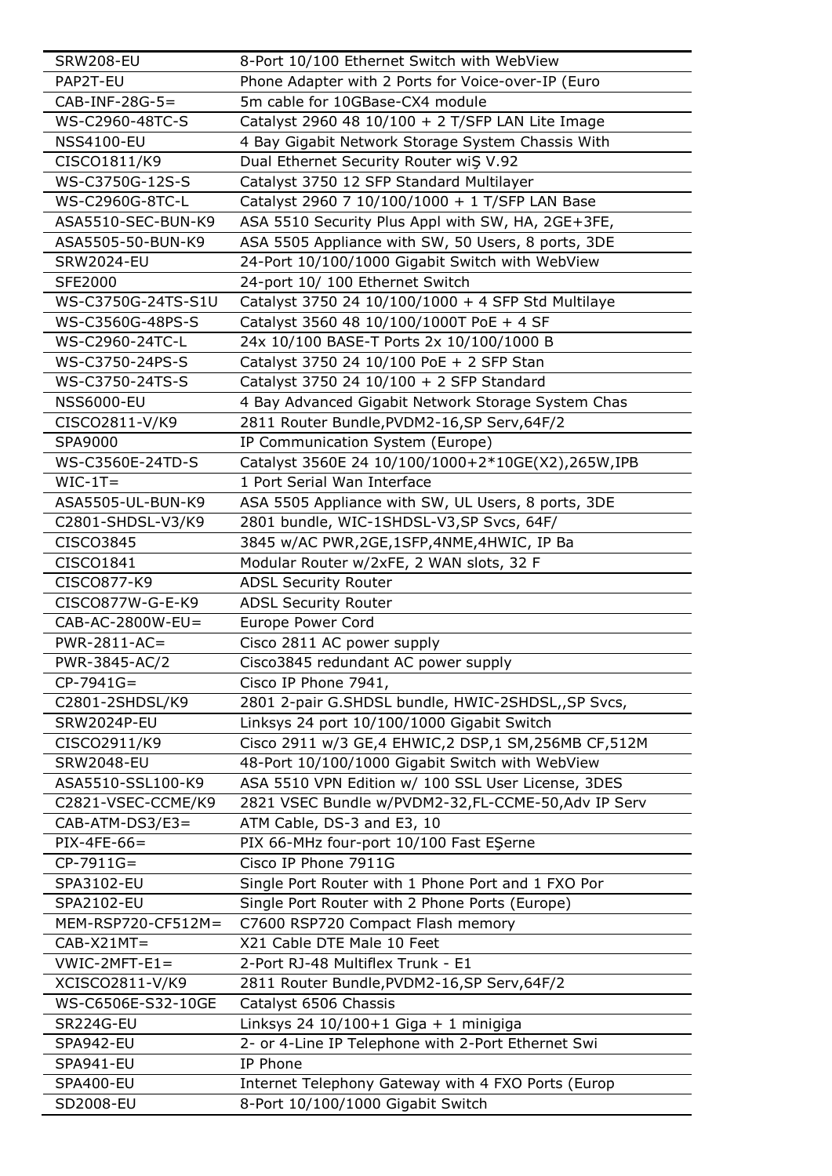| <b>SRW208-EU</b>     | 8-Port 10/100 Ethernet Switch with WebView         |
|----------------------|----------------------------------------------------|
| PAP2T-EU             | Phone Adapter with 2 Ports for Voice-over-IP (Euro |
| $CAB-INF-28G-5=$     | 5m cable for 10GBase-CX4 module                    |
| WS-C2960-48TC-S      | Catalyst 2960 48 10/100 + 2 T/SFP LAN Lite Image   |
| <b>NSS4100-EU</b>    | 4 Bay Gigabit Network Storage System Chassis With  |
| CISCO1811/K9         | Dual Ethernet Security Router wiŞ V.92             |
| WS-C3750G-12S-S      | Catalyst 3750 12 SFP Standard Multilayer           |
| WS-C2960G-8TC-L      | Catalyst 2960 7 10/100/1000 + 1 T/SFP LAN Base     |
| ASA5510-SEC-BUN-K9   | ASA 5510 Security Plus Appl with SW, HA, 2GE+3FE,  |
| ASA5505-50-BUN-K9    | ASA 5505 Appliance with SW, 50 Users, 8 ports, 3DE |
| <b>SRW2024-EU</b>    | 24-Port 10/100/1000 Gigabit Switch with WebView    |
| <b>SFE2000</b>       | 24-port 10/ 100 Ethernet Switch                    |
| WS-C3750G-24TS-S1U   | Catalyst 3750 24 10/100/1000 + 4 SFP Std Multilaye |
| WS-C3560G-48PS-S     | Catalyst 3560 48 10/100/1000T PoE + 4 SF           |
| WS-C2960-24TC-L      | 24x 10/100 BASE-T Ports 2x 10/100/1000 B           |
| WS-C3750-24PS-S      | Catalyst 3750 24 10/100 PoE + 2 SFP Stan           |
| WS-C3750-24TS-S      | Catalyst 3750 24 10/100 + 2 SFP Standard           |
| <b>NSS6000-EU</b>    | 4 Bay Advanced Gigabit Network Storage System Chas |
| CISCO2811-V/K9       | 2811 Router Bundle, PVDM2-16, SP Serv, 64F/2       |
| SPA9000              | IP Communication System (Europe)                   |
| WS-C3560E-24TD-S     | Catalyst 3560E 24 10/100/1000+2*10GE(X2),265W,IPB  |
| $WIC-1T=$            | 1 Port Serial Wan Interface                        |
| ASA5505-UL-BUN-K9    | ASA 5505 Appliance with SW, UL Users, 8 ports, 3DE |
| C2801-SHDSL-V3/K9    | 2801 bundle, WIC-1SHDSL-V3,SP Svcs, 64F/           |
| CISCO3845            | 3845 w/AC PWR,2GE,1SFP,4NME,4HWIC, IP Ba           |
| CISCO1841            | Modular Router w/2xFE, 2 WAN slots, 32 F           |
| CISCO877-K9          | <b>ADSL Security Router</b>                        |
| CISCO877W-G-E-K9     | <b>ADSL Security Router</b>                        |
| $CAB-AC-2800W-EU=$   | Europe Power Cord                                  |
| PWR-2811-AC=         | Cisco 2811 AC power supply                         |
| PWR-3845-AC/2        | Cisco3845 redundant AC power supply                |
| $CP-7941G=$          | Cisco IP Phone 7941,                               |
| C2801-2SHDSL/K9      | 2801 2-pair G.SHDSL bundle, HWIC-2SHDSL,, SP Svcs, |
| <b>SRW2024P-EU</b>   | Linksys 24 port 10/100/1000 Gigabit Switch         |
| CISCO2911/K9         | Cisco 2911 w/3 GE,4 EHWIC,2 DSP,1 SM,256MB CF,512M |
| <b>SRW2048-EU</b>    | 48-Port 10/100/1000 Gigabit Switch with WebView    |
| ASA5510-SSL100-K9    | ASA 5510 VPN Edition w/ 100 SSL User License, 3DES |
| C2821-VSEC-CCME/K9   | 2821 VSEC Bundle w/PVDM2-32,FL-CCME-50,Adv IP Serv |
| $CAB-ATM-DS3/E3=$    | ATM Cable, DS-3 and E3, 10                         |
| $PIX-4FE-66=$        | PIX 66-MHz four-port 10/100 Fast ESerne            |
| $CP-7911G=$          | Cisco IP Phone 7911G                               |
| SPA3102-EU           | Single Port Router with 1 Phone Port and 1 FXO Por |
| SPA2102-EU           | Single Port Router with 2 Phone Ports (Europe)     |
| $MEM-RSP720-CF512M=$ | C7600 RSP720 Compact Flash memory                  |
| $CAB-X21MT=$         | X21 Cable DTE Male 10 Feet                         |
| $VWIC-2MFT-E1=$      | 2-Port RJ-48 Multiflex Trunk - E1                  |
| XCISCO2811-V/K9      | 2811 Router Bundle, PVDM2-16, SP Serv, 64F/2       |
| WS-C6506E-S32-10GE   | Catalyst 6506 Chassis                              |
| SR224G-EU            | Linksys 24 10/100+1 Giga + 1 minigiga              |
| SPA942-EU            | 2- or 4-Line IP Telephone with 2-Port Ethernet Swi |
| SPA941-EU            | IP Phone                                           |
| SPA400-EU            | Internet Telephony Gateway with 4 FXO Ports (Europ |
| SD2008-EU            | 8-Port 10/100/1000 Gigabit Switch                  |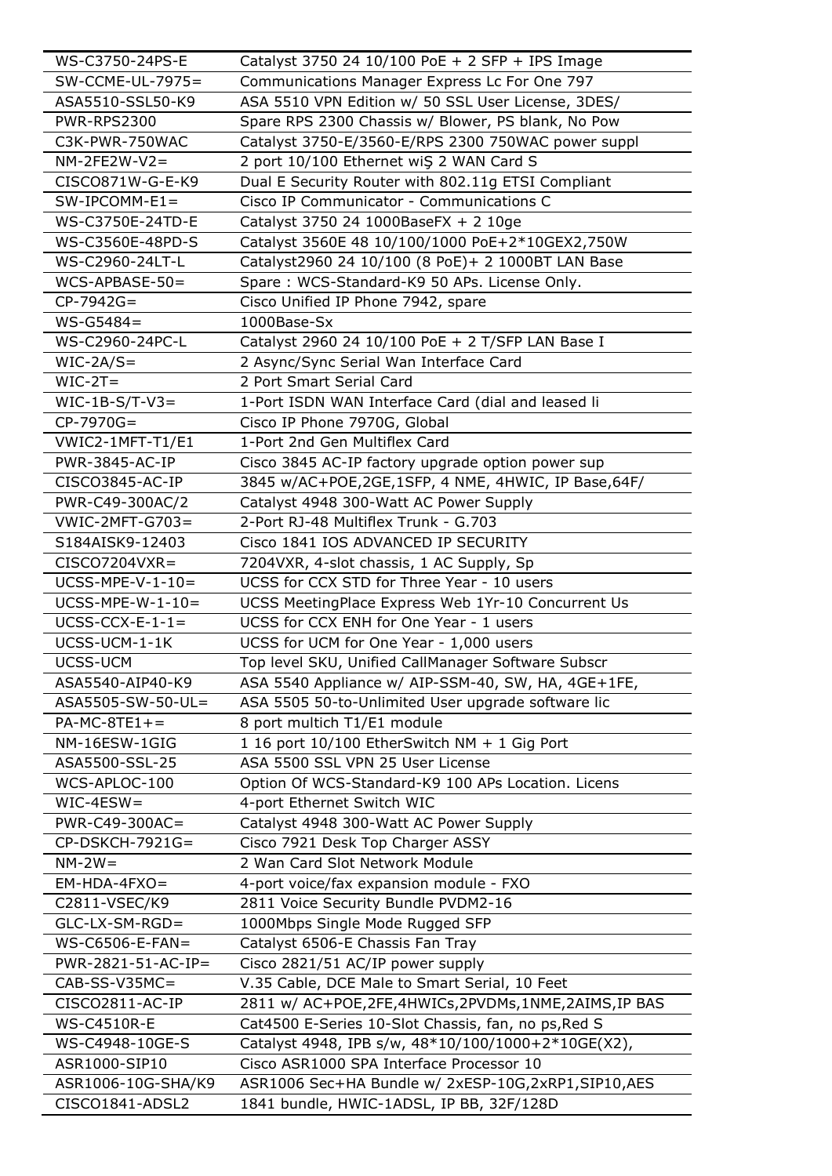| WS-C3750-24PS-E     | Catalyst 3750 24 10/100 PoE + 2 SFP + IPS Image          |
|---------------------|----------------------------------------------------------|
| $SW$ -CCME-UL-7975= | Communications Manager Express Lc For One 797            |
| ASA5510-SSL50-K9    | ASA 5510 VPN Edition w/ 50 SSL User License, 3DES/       |
| <b>PWR-RPS2300</b>  | Spare RPS 2300 Chassis w/ Blower, PS blank, No Pow       |
| C3K-PWR-750WAC      | Catalyst 3750-E/3560-E/RPS 2300 750WAC power suppl       |
| $NM-2FE2W-V2=$      | 2 port 10/100 Ethernet wiŞ 2 WAN Card S                  |
| CISCO871W-G-E-K9    | Dual E Security Router with 802.11g ETSI Compliant       |
| $SW-IPCOMM-E1=$     | Cisco IP Communicator - Communications C                 |
| WS-C3750E-24TD-E    | Catalyst 3750 24 1000BaseFX + 2 10ge                     |
| WS-C3560E-48PD-S    | Catalyst 3560E 48 10/100/1000 PoE+2*10GEX2,750W          |
| WS-C2960-24LT-L     | Catalyst2960 24 10/100 (8 PoE)+ 2 1000BT LAN Base        |
| $WCS$ -APBASE-50=   | Spare: WCS-Standard-K9 50 APs. License Only.             |
| $CP-7942G=$         | Cisco Unified IP Phone 7942, spare                       |
| $WS - G5484 =$      | 1000Base-Sx                                              |
| WS-C2960-24PC-L     | Catalyst 2960 24 10/100 PoE + 2 T/SFP LAN Base I         |
| $WIC-2A/S=$         | 2 Async/Sync Serial Wan Interface Card                   |
| $WIC-2T=$           | 2 Port Smart Serial Card                                 |
| $WIC-1B-S/T-V3=$    | 1-Port ISDN WAN Interface Card (dial and leased li       |
| $CP-7970G=$         | Cisco IP Phone 7970G, Global                             |
| VWIC2-1MFT-T1/E1    | 1-Port 2nd Gen Multiflex Card                            |
| PWR-3845-AC-IP      | Cisco 3845 AC-IP factory upgrade option power sup        |
| CISCO3845-AC-IP     | 3845 w/AC+POE,2GE,1SFP, 4 NME, 4HWIC, IP Base,64F/       |
| PWR-C49-300AC/2     | Catalyst 4948 300-Watt AC Power Supply                   |
| $VWIC-2MFT-G703=$   | 2-Port RJ-48 Multiflex Trunk - G.703                     |
| S184AISK9-12403     | Cisco 1841 IOS ADVANCED IP SECURITY                      |
| $CISCO7204VXR =$    | 7204VXR, 4-slot chassis, 1 AC Supply, Sp                 |
| $UCSS-MPE-V-1-10=$  | UCSS for CCX STD for Three Year - 10 users               |
| $UCSS-MPE-W-1-10=$  | UCSS MeetingPlace Express Web 1Yr-10 Concurrent Us       |
| $UCSS-CCX-E-1-1=$   | UCSS for CCX ENH for One Year - 1 users                  |
| UCSS-UCM-1-1K       | UCSS for UCM for One Year - 1,000 users                  |
| UCSS-UCM            | Top level SKU, Unified CallManager Software Subscr       |
| ASA5540-AIP40-K9    | ASA 5540 Appliance w/ AIP-SSM-40, SW, HA, 4GE+1FE,       |
| ASA5505-SW-50-UL=   | ASA 5505 50-to-Unlimited User upgrade software lic       |
| $PA-MC-8TE1+=$      | 8 port multich T1/E1 module                              |
| NM-16ESW-1GIG       | 1 16 port 10/100 EtherSwitch NM + 1 Gig Port             |
| ASA5500-SSL-25      | ASA 5500 SSL VPN 25 User License                         |
| WCS-APLOC-100       | Option Of WCS-Standard-K9 100 APs Location. Licens       |
| $WIC-4ESW =$        | 4-port Ethernet Switch WIC                               |
| PWR-C49-300AC=      | Catalyst 4948 300-Watt AC Power Supply                   |
| $CP$ -DSKCH-7921G=  | Cisco 7921 Desk Top Charger ASSY                         |
| $NN-2W=$            | 2 Wan Card Slot Network Module                           |
| $EM-HDA-4FXO=$      | 4-port voice/fax expansion module - FXO                  |
| C2811-VSEC/K9       | 2811 Voice Security Bundle PVDM2-16                      |
| $GLC-LX-SM-RGD =$   | 1000Mbps Single Mode Rugged SFP                          |
| $WS$ -C6506-E-FAN=  | Catalyst 6506-E Chassis Fan Tray                         |
| PWR-2821-51-AC-IP=  | Cisco 2821/51 AC/IP power supply                         |
| $CAB-SS-V35MC=$     | V.35 Cable, DCE Male to Smart Serial, 10 Feet            |
| CISCO2811-AC-IP     | 2811 w/ AC+POE, 2FE, 4HWICs, 2PVDMs, 1NME, 2AIMS, IP BAS |
| <b>WS-C4510R-E</b>  | Cat4500 E-Series 10-Slot Chassis, fan, no ps, Red S      |
| WS-C4948-10GE-S     | Catalyst 4948, IPB s/w, 48*10/100/1000+2*10GE(X2),       |
| ASR1000-SIP10       | Cisco ASR1000 SPA Interface Processor 10                 |
| ASR1006-10G-SHA/K9  | ASR1006 Sec+HA Bundle w/ 2xESP-10G,2xRP1,SIP10,AES       |
| CISCO1841-ADSL2     | 1841 bundle, HWIC-1ADSL, IP BB, 32F/128D                 |
|                     |                                                          |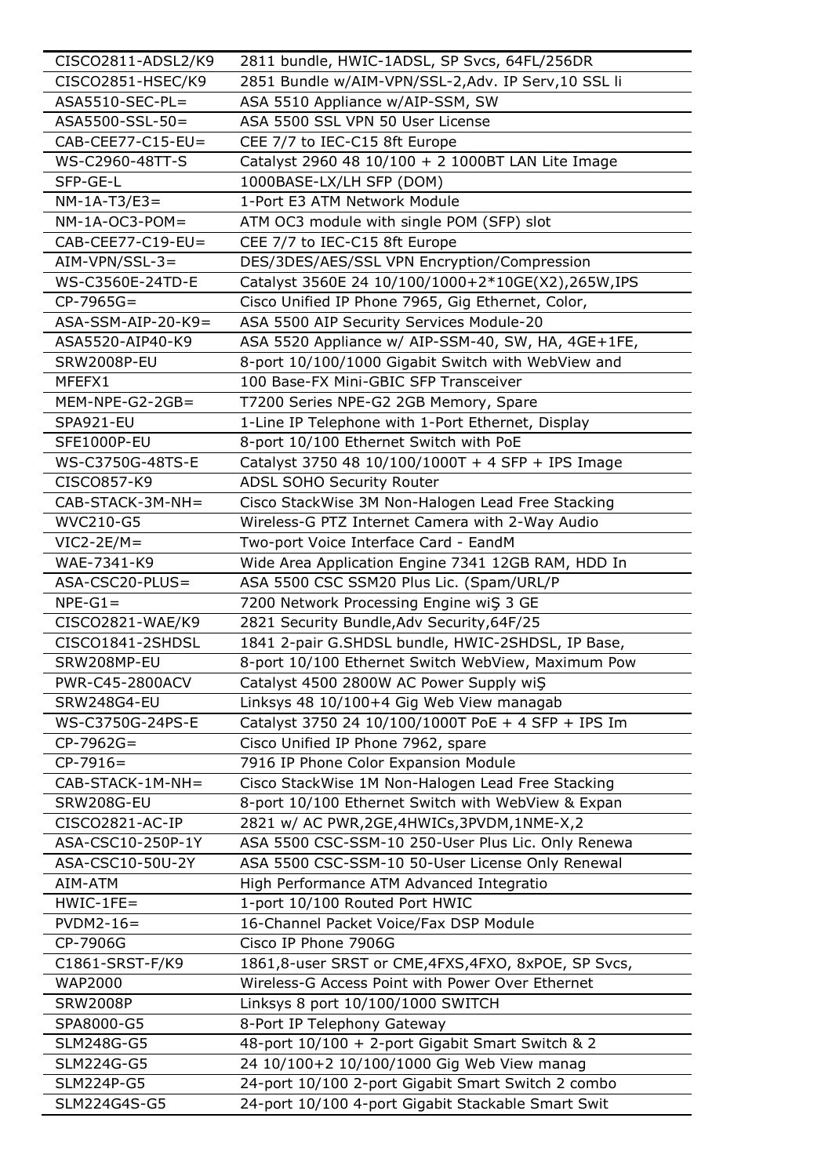| CISCO2811-ADSL2/K9   | 2811 bundle, HWIC-1ADSL, SP Svcs, 64FL/256DR       |
|----------------------|----------------------------------------------------|
| CISCO2851-HSEC/K9    | 2851 Bundle w/AIM-VPN/SSL-2,Adv. IP Serv,10 SSL li |
| ASA5510-SEC-PL=      | ASA 5510 Appliance w/AIP-SSM, SW                   |
| ASA5500-SSL-50=      | ASA 5500 SSL VPN 50 User License                   |
| $CAB-CEE77-C15-EU=$  | CEE 7/7 to IEC-C15 8ft Europe                      |
| WS-C2960-48TT-S      | Catalyst 2960 48 10/100 + 2 1000BT LAN Lite Image  |
| SFP-GE-L             | 1000BASE-LX/LH SFP (DOM)                           |
| $NM-1A-T3/E3=$       | 1-Port E3 ATM Network Module                       |
| $NM-1A-OC3-POM=$     | ATM OC3 module with single POM (SFP) slot          |
| $CAB-CEE77-C19-EU=$  | CEE 7/7 to IEC-C15 8ft Europe                      |
| $AIN-VPN/SSL-3=$     | DES/3DES/AES/SSL VPN Encryption/Compression        |
| WS-C3560E-24TD-E     | Catalyst 3560E 24 10/100/1000+2*10GE(X2),265W,IPS  |
| $CP-7965G=$          | Cisco Unified IP Phone 7965, Gig Ethernet, Color,  |
| $ASA-SSM-AIP-20-K9=$ | ASA 5500 AIP Security Services Module-20           |
| ASA5520-AIP40-K9     | ASA 5520 Appliance w/ AIP-SSM-40, SW, HA, 4GE+1FE, |
| <b>SRW2008P-EU</b>   | 8-port 10/100/1000 Gigabit Switch with WebView and |
| MFEFX1               | 100 Base-FX Mini-GBIC SFP Transceiver              |
| $MEM-NPE-G2-2GB=$    | T7200 Series NPE-G2 2GB Memory, Spare              |
| <b>SPA921-EU</b>     | 1-Line IP Telephone with 1-Port Ethernet, Display  |
| SFE1000P-EU          | 8-port 10/100 Ethernet Switch with PoE             |
| WS-C3750G-48TS-E     | Catalyst 3750 48 10/100/1000T + 4 SFP + IPS Image  |
| CISCO857-K9          | ADSL SOHO Security Router                          |
| CAB-STACK-3M-NH=     | Cisco StackWise 3M Non-Halogen Lead Free Stacking  |
| WVC210-G5            | Wireless-G PTZ Internet Camera with 2-Way Audio    |
| $VIC2-2E/M=$         | Two-port Voice Interface Card - EandM              |
| WAE-7341-K9          | Wide Area Application Engine 7341 12GB RAM, HDD In |
| ASA-CSC20-PLUS=      | ASA 5500 CSC SSM20 Plus Lic. (Spam/URL/P           |
| $NPE-G1=$            | 7200 Network Processing Engine wiS 3 GE            |
| CISCO2821-WAE/K9     | 2821 Security Bundle, Adv Security, 64F/25         |
| CISCO1841-2SHDSL     | 1841 2-pair G.SHDSL bundle, HWIC-2SHDSL, IP Base,  |
| SRW208MP-EU          | 8-port 10/100 Ethernet Switch WebView, Maximum Pow |
| PWR-C45-2800ACV      | Catalyst 4500 2800W AC Power Supply wiS            |
| <b>SRW248G4-EU</b>   | Linksys 48 10/100+4 Gig Web View managab           |
| WS-C3750G-24PS-E     | Catalyst 3750 24 10/100/1000T PoE + 4 SFP + IPS Im |
| $CP-7962G=$          | Cisco Unified IP Phone 7962, spare                 |
| $CP-7916=$           | 7916 IP Phone Color Expansion Module               |
| CAB-STACK-1M-NH=     | Cisco StackWise 1M Non-Halogen Lead Free Stacking  |
| <b>SRW208G-EU</b>    | 8-port 10/100 Ethernet Switch with WebView & Expan |
| CISCO2821-AC-IP      | 2821 w/ AC PWR, 2GE, 4HWICs, 3PVDM, 1NME-X, 2      |
| ASA-CSC10-250P-1Y    | ASA 5500 CSC-SSM-10 250-User Plus Lic. Only Renewa |
| ASA-CSC10-50U-2Y     | ASA 5500 CSC-SSM-10 50-User License Only Renewal   |
| AIM-ATM              | High Performance ATM Advanced Integratio           |
| $HWIC-1FE=$          | 1-port 10/100 Routed Port HWIC                     |
| $PVDM2-16=$          | 16-Channel Packet Voice/Fax DSP Module             |
| CP-7906G             | Cisco IP Phone 7906G                               |
| C1861-SRST-F/K9      | 1861,8-user SRST or CME,4FXS,4FXO, 8xPOE, SP Svcs, |
| <b>WAP2000</b>       | Wireless-G Access Point with Power Over Ethernet   |
| <b>SRW2008P</b>      | Linksys 8 port 10/100/1000 SWITCH                  |
| SPA8000-G5           | 8-Port IP Telephony Gateway                        |
| SLM248G-G5           | 48-port 10/100 + 2-port Gigabit Smart Switch & 2   |
| SLM224G-G5           | 24 10/100+2 10/100/1000 Gig Web View manag         |
| SLM224P-G5           | 24-port 10/100 2-port Gigabit Smart Switch 2 combo |
| SLM224G4S-G5         | 24-port 10/100 4-port Gigabit Stackable Smart Swit |
|                      |                                                    |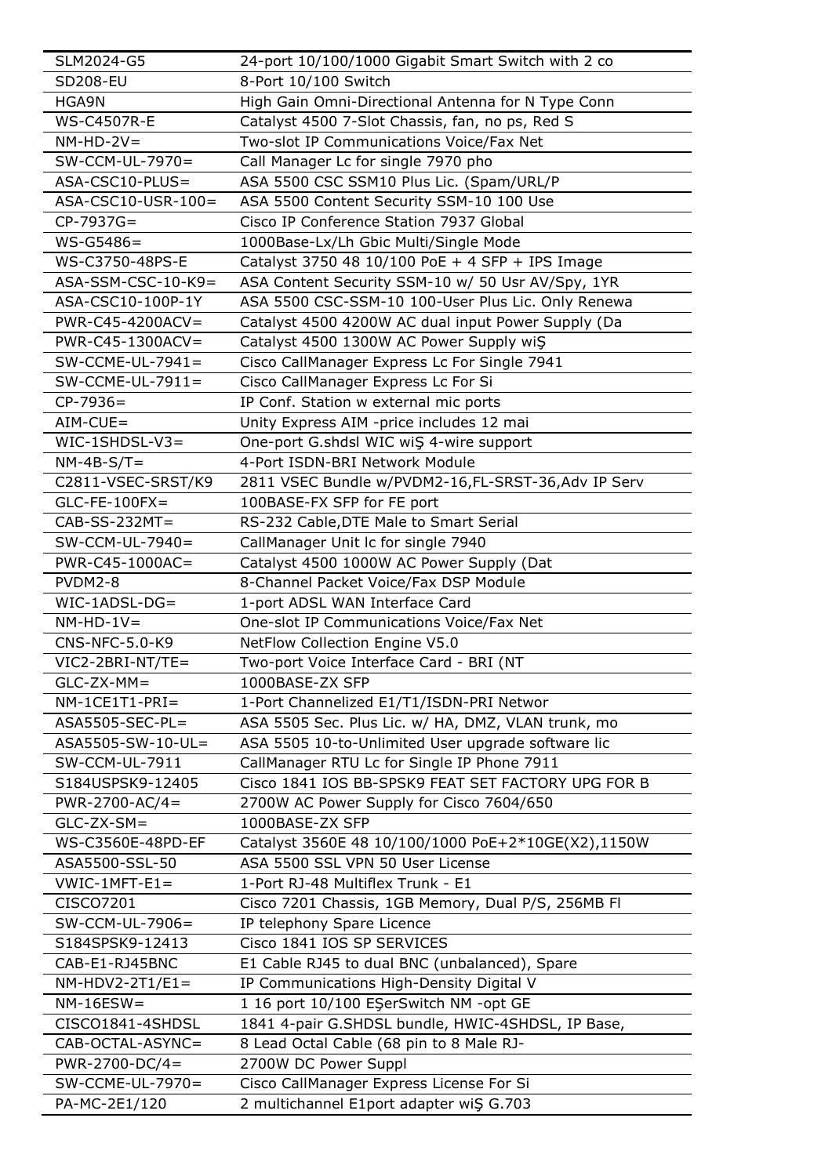| SLM2024-G5           | 24-port 10/100/1000 Gigabit Smart Switch with 2 co |
|----------------------|----------------------------------------------------|
| <b>SD208-EU</b>      | 8-Port 10/100 Switch                               |
| HGA9N                | High Gain Omni-Directional Antenna for N Type Conn |
| <b>WS-C4507R-E</b>   | Catalyst 4500 7-Slot Chassis, fan, no ps, Red S    |
| $NM-HD-2V=$          | Two-slot IP Communications Voice/Fax Net           |
| SW-CCM-UL-7970=      | Call Manager Lc for single 7970 pho                |
| ASA-CSC10-PLUS=      | ASA 5500 CSC SSM10 Plus Lic. (Spam/URL/P           |
| ASA-CSC10-USR-100=   | ASA 5500 Content Security SSM-10 100 Use           |
| $CP-7937G=$          | Cisco IP Conference Station 7937 Global            |
| $WS - G5486 =$       | 1000Base-Lx/Lh Gbic Multi/Single Mode              |
| WS-C3750-48PS-E      | Catalyst 3750 48 10/100 PoE + 4 SFP + IPS Image    |
| $ASA-SSM-CSC-10-K9=$ | ASA Content Security SSM-10 w/ 50 Usr AV/Spy, 1YR  |
| ASA-CSC10-100P-1Y    | ASA 5500 CSC-SSM-10 100-User Plus Lic. Only Renewa |
| PWR-C45-4200ACV=     | Catalyst 4500 4200W AC dual input Power Supply (Da |
| PWR-C45-1300ACV=     | Catalyst 4500 1300W AC Power Supply wiŞ            |
| $SW$ -CCME-UL-7941=  | Cisco CallManager Express Lc For Single 7941       |
| $SW-CCME-UL-7911=$   | Cisco CallManager Express Lc For Si                |
| $CP-7936=$           | IP Conf. Station w external mic ports              |
| $AIN-CUE =$          | Unity Express AIM -price includes 12 mai           |
| $WIC-1SHDSL-V3=$     | One-port G.shdsl WIC wiS 4-wire support            |
| $NM-4B-S/T=$         | 4-Port ISDN-BRI Network Module                     |
| C2811-VSEC-SRST/K9   | 2811 VSEC Bundle w/PVDM2-16,FL-SRST-36,Adv IP Serv |
| $GLC$ -FE-100FX=     | 100BASE-FX SFP for FE port                         |
| $CAB-SS-232MT=$      | RS-232 Cable, DTE Male to Smart Serial             |
| $SW-CCM-UL-7940=$    | CallManager Unit Ic for single 7940                |
| PWR-C45-1000AC=      | Catalyst 4500 1000W AC Power Supply (Dat           |
| PVDM2-8              | 8-Channel Packet Voice/Fax DSP Module              |
| $WIC-1ADSL-DG=$      | 1-port ADSL WAN Interface Card                     |
| $NM-HD-1V=$          | One-slot IP Communications Voice/Fax Net           |
| CNS-NFC-5.0-K9       | NetFlow Collection Engine V5.0                     |
| VIC2-2BRI-NT/TE=     | Two-port Voice Interface Card - BRI (NT            |
| $GLC-ZX-MM=$         | 1000BASE-ZX SFP                                    |
| $NM-1CE1T1-PRI=$     | 1-Port Channelized E1/T1/ISDN-PRI Networ           |
| $ASA5505-SEC-PL=$    | ASA 5505 Sec. Plus Lic. w/ HA, DMZ, VLAN trunk, mo |
| ASA5505-SW-10-UL=    | ASA 5505 10-to-Unlimited User upgrade software lic |
| SW-CCM-UL-7911       | CallManager RTU Lc for Single IP Phone 7911        |
| S184USPSK9-12405     | Cisco 1841 IOS BB-SPSK9 FEAT SET FACTORY UPG FOR B |
| $PWR-2700-AC/4=$     | 2700W AC Power Supply for Cisco 7604/650           |
| $GLC-ZX-SM=$         | 1000BASE-ZX SFP                                    |
| WS-C3560E-48PD-EF    | Catalyst 3560E 48 10/100/1000 PoE+2*10GE(X2),1150W |
| ASA5500-SSL-50       | ASA 5500 SSL VPN 50 User License                   |
| $VWIC-1MFT-E1=$      | 1-Port RJ-48 Multiflex Trunk - E1                  |
| CISCO7201            | Cisco 7201 Chassis, 1GB Memory, Dual P/S, 256MB Fl |
| SW-CCM-UL-7906=      | IP telephony Spare Licence                         |
| S184SPSK9-12413      | Cisco 1841 IOS SP SERVICES                         |
| CAB-E1-RJ45BNC       | E1 Cable RJ45 to dual BNC (unbalanced), Spare      |
| $NM-HDV2-2T1/E1=$    | IP Communications High-Density Digital V           |
| $NM-16ESW =$         | 1 16 port 10/100 EŞerSwitch NM -opt GE             |
| CISCO1841-4SHDSL     | 1841 4-pair G.SHDSL bundle, HWIC-4SHDSL, IP Base,  |
| CAB-OCTAL-ASYNC=     | 8 Lead Octal Cable (68 pin to 8 Male RJ-           |
| $PWR-2700-DC/4=$     | 2700W DC Power Suppl                               |
| $SW-CCME-UL-7970=$   | Cisco CallManager Express License For Si           |
|                      |                                                    |
| PA-MC-2E1/120        | 2 multichannel E1port adapter wiŞ G.703            |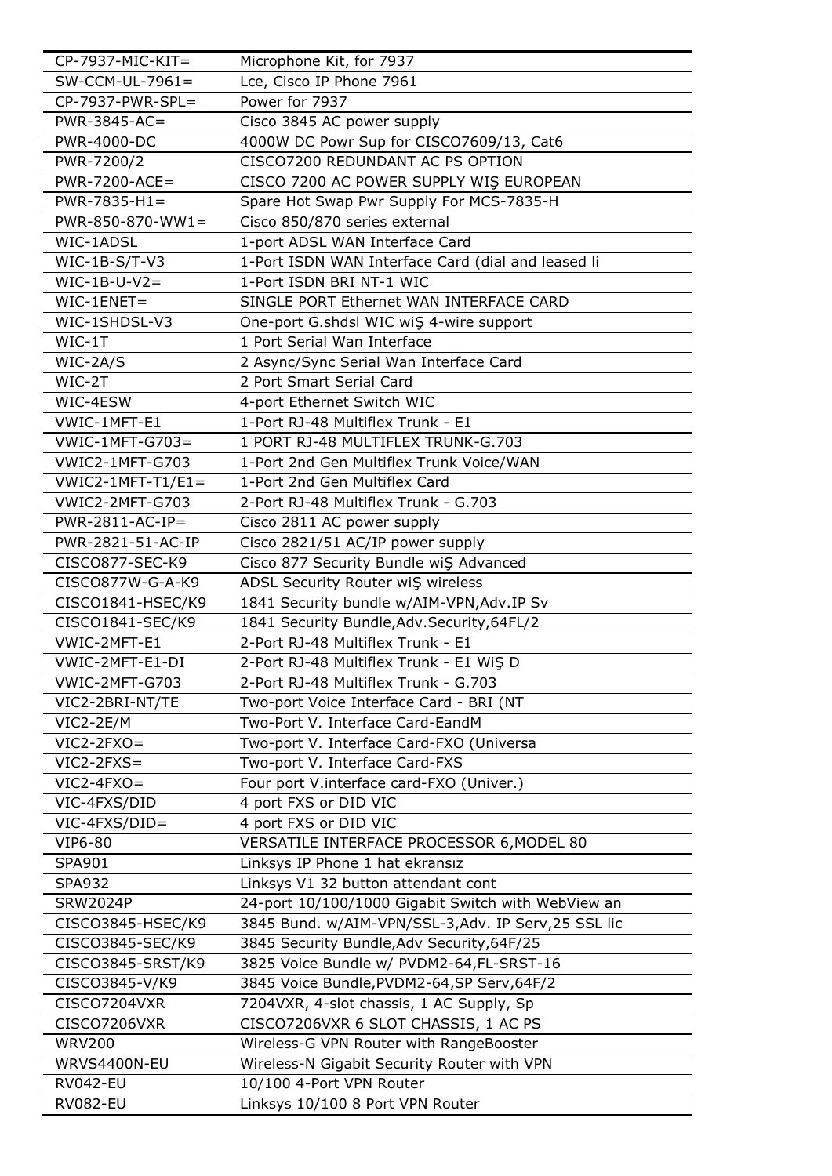| $CP-7937-MIC-KIT =$    | Microphone Kit, for 7937                           |
|------------------------|----------------------------------------------------|
| $SW-CCM-UL-7961=$      | Lce, Cisco IP Phone 7961                           |
| $CP-7937-PWR-SPL=$     | Power for 7937                                     |
| $PWR-3845-AC=$         | Cisco 3845 AC power supply                         |
| <b>PWR-4000-DC</b>     | 4000W DC Powr Sup for CISCO7609/13, Cat6           |
| PWR-7200/2             | CISCO7200 REDUNDANT AC PS OPTION                   |
| $PWR-7200-ACE=$        | CISCO 7200 AC POWER SUPPLY WIS EUROPEAN            |
| $PWR-7835-H1=$         | Spare Hot Swap Pwr Supply For MCS-7835-H           |
| $PWR-850-870-WW1=$     | Cisco 850/870 series external                      |
| WIC-1ADSL              | 1-port ADSL WAN Interface Card                     |
| $WIC-1B-S/T-V3$        | 1-Port ISDN WAN Interface Card (dial and leased li |
| $WIC-1B-U-V2=$         | 1-Port ISDN BRI NT-1 WIC                           |
| $WIC-1ENET=$           | SINGLE PORT Ethernet WAN INTERFACE CARD            |
| WIC-1SHDSL-V3          | One-port G.shdsl WIC wiŞ 4-wire support            |
| $WIC-1T$               | 1 Port Serial Wan Interface                        |
| $WIC-2A/S$             | 2 Async/Sync Serial Wan Interface Card             |
| WIC-2T                 | 2 Port Smart Serial Card                           |
| WIC-4ESW               | 4-port Ethernet Switch WIC                         |
| VWIC-1MFT-E1           | 1-Port RJ-48 Multiflex Trunk - E1                  |
| $VWIC-1MFT-G703=$      | 1 PORT RJ-48 MULTIFLEX TRUNK-G.703                 |
| <b>VWIC2-1MFT-G703</b> | 1-Port 2nd Gen Multiflex Trunk Voice/WAN           |
| $VWIC2-1MFT-T1/E1=$    | 1-Port 2nd Gen Multiflex Card                      |
| <b>VWIC2-2MFT-G703</b> | 2-Port RJ-48 Multiflex Trunk - G.703               |
| $PWR-2811-AC-IP=$      | Cisco 2811 AC power supply                         |
| PWR-2821-51-AC-IP      | Cisco 2821/51 AC/IP power supply                   |
| CISCO877-SEC-K9        | Cisco 877 Security Bundle wiŞ Advanced             |
| CISCO877W-G-A-K9       | ADSL Security Router wiŞ wireless                  |
| CISCO1841-HSEC/K9      | 1841 Security bundle w/AIM-VPN, Adv. IP Sv         |
| CISCO1841-SEC/K9       | 1841 Security Bundle, Adv. Security, 64FL/2        |
| VWIC-2MFT-E1           | 2-Port RJ-48 Multiflex Trunk - E1                  |
| VWIC-2MFT-E1-DI        | 2-Port RJ-48 Multiflex Trunk - E1 WiŞ D            |
| VWIC-2MFT-G703         | 2-Port RJ-48 Multiflex Trunk - G.703               |
| VIC2-2BRI-NT/TE        | Two-port Voice Interface Card - BRI (NT            |
| VIC2-2E/M              | Two-Port V. Interface Card-EandM                   |
| $VIC2-2FXO=$           | Two-port V. Interface Card-FXO (Universa           |
| $VIC2-2FXS=$           | Two-port V. Interface Card-FXS                     |
| $VIC2-4FXO=$           | Four port V.interface card-FXO (Univer.)           |
| VIC-4FXS/DID           | 4 port FXS or DID VIC                              |
| VIC-4FXS/DID=          | 4 port FXS or DID VIC                              |
| <b>VIP6-80</b>         | VERSATILE INTERFACE PROCESSOR 6, MODEL 80          |
| SPA901                 | Linksys IP Phone 1 hat ekransız                    |
| <b>SPA932</b>          | Linksys V1 32 button attendant cont                |
| <b>SRW2024P</b>        | 24-port 10/100/1000 Gigabit Switch with WebView an |
| CISCO3845-HSEC/K9      | 3845 Bund. w/AIM-VPN/SSL-3,Adv. IP Serv,25 SSL lic |
| CISCO3845-SEC/K9       | 3845 Security Bundle, Adv Security, 64F/25         |
| CISCO3845-SRST/K9      | 3825 Voice Bundle w/ PVDM2-64,FL-SRST-16           |
| CISCO3845-V/K9         | 3845 Voice Bundle, PVDM2-64, SP Serv, 64F/2        |
| CISCO7204VXR           | 7204VXR, 4-slot chassis, 1 AC Supply, Sp           |
| CISCO7206VXR           | CISCO7206VXR 6 SLOT CHASSIS, 1 AC PS               |
| <b>WRV200</b>          | Wireless-G VPN Router with RangeBooster            |
| WRVS4400N-EU           | Wireless-N Gigabit Security Router with VPN        |
| <b>RV042-EU</b>        | 10/100 4-Port VPN Router                           |
| <b>RV082-EU</b>        | Linksys 10/100 8 Port VPN Router                   |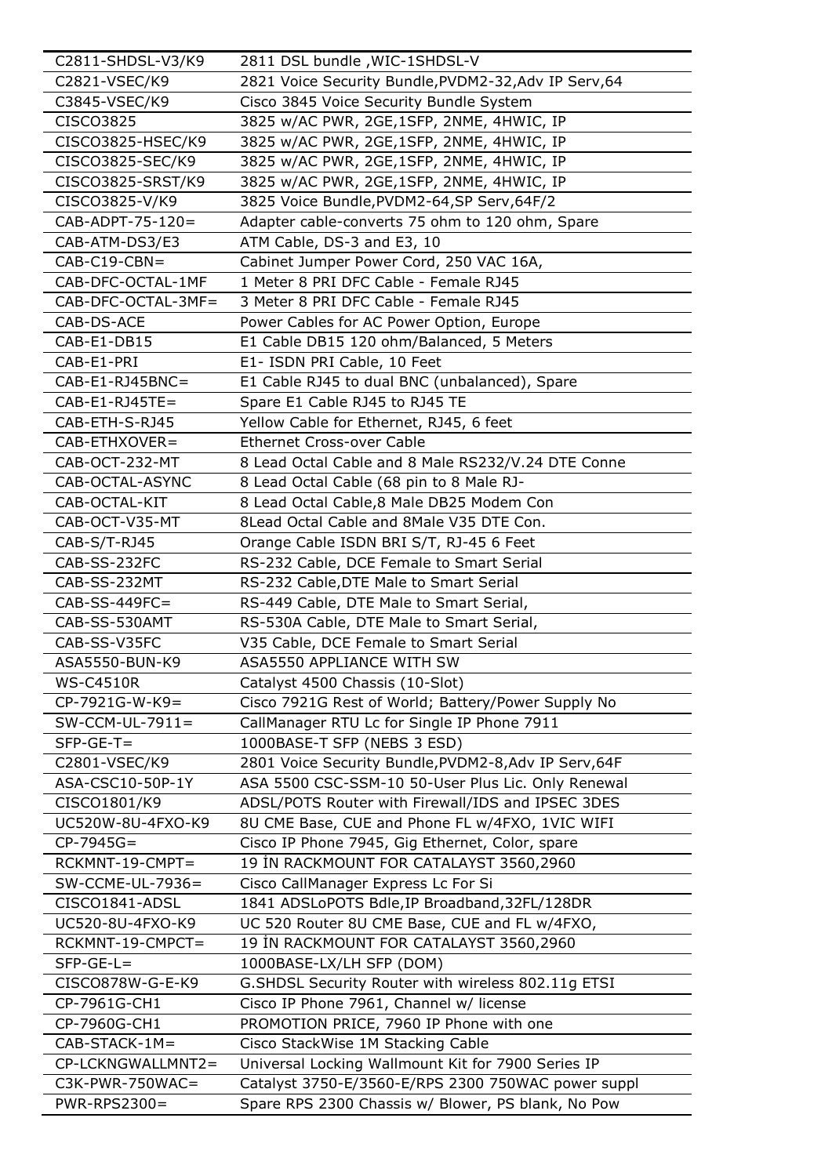| C2811-SHDSL-V3/K9  | 2811 DSL bundle, WIC-1SHDSL-V                         |
|--------------------|-------------------------------------------------------|
| C2821-VSEC/K9      | 2821 Voice Security Bundle, PVDM2-32, Adv IP Serv, 64 |
| C3845-VSEC/K9      | Cisco 3845 Voice Security Bundle System               |
| CISCO3825          | 3825 w/AC PWR, 2GE, 1SFP, 2NME, 4HWIC, IP             |
| CISCO3825-HSEC/K9  | 3825 w/AC PWR, 2GE,1SFP, 2NME, 4HWIC, IP              |
| CISCO3825-SEC/K9   | 3825 w/AC PWR, 2GE,1SFP, 2NME, 4HWIC, IP              |
| CISCO3825-SRST/K9  | 3825 w/AC PWR, 2GE, 1SFP, 2NME, 4HWIC, IP             |
| CISCO3825-V/K9     | 3825 Voice Bundle, PVDM2-64, SP Serv, 64F/2           |
| CAB-ADPT-75-120=   | Adapter cable-converts 75 ohm to 120 ohm, Spare       |
| CAB-ATM-DS3/E3     | ATM Cable, DS-3 and E3, 10                            |
| $CAB-C19-CBN =$    | Cabinet Jumper Power Cord, 250 VAC 16A,               |
| CAB-DFC-OCTAL-1MF  | 1 Meter 8 PRI DFC Cable - Female RJ45                 |
| CAB-DFC-OCTAL-3MF= | 3 Meter 8 PRI DFC Cable - Female RJ45                 |
| CAB-DS-ACE         | Power Cables for AC Power Option, Europe              |
| CAB-E1-DB15        | E1 Cable DB15 120 ohm/Balanced, 5 Meters              |
| CAB-E1-PRI         | E1- ISDN PRI Cable, 10 Feet                           |
| $CAB-E1-RJ45BNC=$  | E1 Cable RJ45 to dual BNC (unbalanced), Spare         |
| $CAB-E1-RJ45TE=$   | Spare E1 Cable RJ45 to RJ45 TE                        |
| CAB-ETH-S-RJ45     | Yellow Cable for Ethernet, RJ45, 6 feet               |
| CAB-ETHXOVER=      | <b>Ethernet Cross-over Cable</b>                      |
| CAB-OCT-232-MT     | 8 Lead Octal Cable and 8 Male RS232/V.24 DTE Conne    |
| CAB-OCTAL-ASYNC    | 8 Lead Octal Cable (68 pin to 8 Male RJ-              |
| CAB-OCTAL-KIT      | 8 Lead Octal Cable, 8 Male DB25 Modem Con             |
| CAB-OCT-V35-MT     | 8Lead Octal Cable and 8Male V35 DTE Con.              |
| CAB-S/T-RJ45       | Orange Cable ISDN BRI S/T, RJ-45 6 Feet               |
| CAB-SS-232FC       | RS-232 Cable, DCE Female to Smart Serial              |
| CAB-SS-232MT       | RS-232 Cable, DTE Male to Smart Serial                |
| $CAB-SS-449FC=$    | RS-449 Cable, DTE Male to Smart Serial,               |
| CAB-SS-530AMT      | RS-530A Cable, DTE Male to Smart Serial,              |
| CAB-SS-V35FC       | V35 Cable, DCE Female to Smart Serial                 |
| ASA5550-BUN-K9     | ASA5550 APPLIANCE WITH SW                             |
| <b>WS-C4510R</b>   | Catalyst 4500 Chassis (10-Slot)                       |
| $CP-7921G-W-K9=$   | Cisco 7921G Rest of World; Battery/Power Supply No    |
| $SW-CCM-UL-7911=$  | CallManager RTU Lc for Single IP Phone 7911           |
| $SFP-GE-T=$        | 1000BASE-T SFP (NEBS 3 ESD)                           |
| C2801-VSEC/K9      | 2801 Voice Security Bundle, PVDM2-8, Adv IP Serv, 64F |
| ASA-CSC10-50P-1Y   | ASA 5500 CSC-SSM-10 50-User Plus Lic. Only Renewal    |
| CISCO1801/K9       | ADSL/POTS Router with Firewall/IDS and IPSEC 3DES     |
| UC520W-8U-4FXO-K9  | 8U CME Base, CUE and Phone FL w/4FXO, 1VIC WIFI       |
| $CP-7945G=$        | Cisco IP Phone 7945, Gig Ethernet, Color, spare       |
| RCKMNT-19-CMPT=    | 19 IN RACKMOUNT FOR CATALAYST 3560,2960               |
| SW-CCME-UL-7936=   | Cisco CallManager Express Lc For Si                   |
| CISCO1841-ADSL     | 1841 ADSLoPOTS Bdle, IP Broadband, 32FL/128DR         |
| UC520-8U-4FXO-K9   | UC 520 Router 8U CME Base, CUE and FL w/4FXO,         |
| RCKMNT-19-CMPCT=   | 19 IN RACKMOUNT FOR CATALAYST 3560,2960               |
| $SFP-GE-L=$        | 1000BASE-LX/LH SFP (DOM)                              |
| CISCO878W-G-E-K9   | G.SHDSL Security Router with wireless 802.11g ETSI    |
| CP-7961G-CH1       | Cisco IP Phone 7961, Channel w/ license               |
| CP-7960G-CH1       | PROMOTION PRICE, 7960 IP Phone with one               |
| $CAB-STACK-1M=$    | Cisco StackWise 1M Stacking Cable                     |
| CP-LCKNGWALLMNT2=  | Universal Locking Wallmount Kit for 7900 Series IP    |
| $C3K-PWR-750WAC=$  | Catalyst 3750-E/3560-E/RPS 2300 750WAC power suppl    |
| PWR-RPS2300=       | Spare RPS 2300 Chassis w/ Blower, PS blank, No Pow    |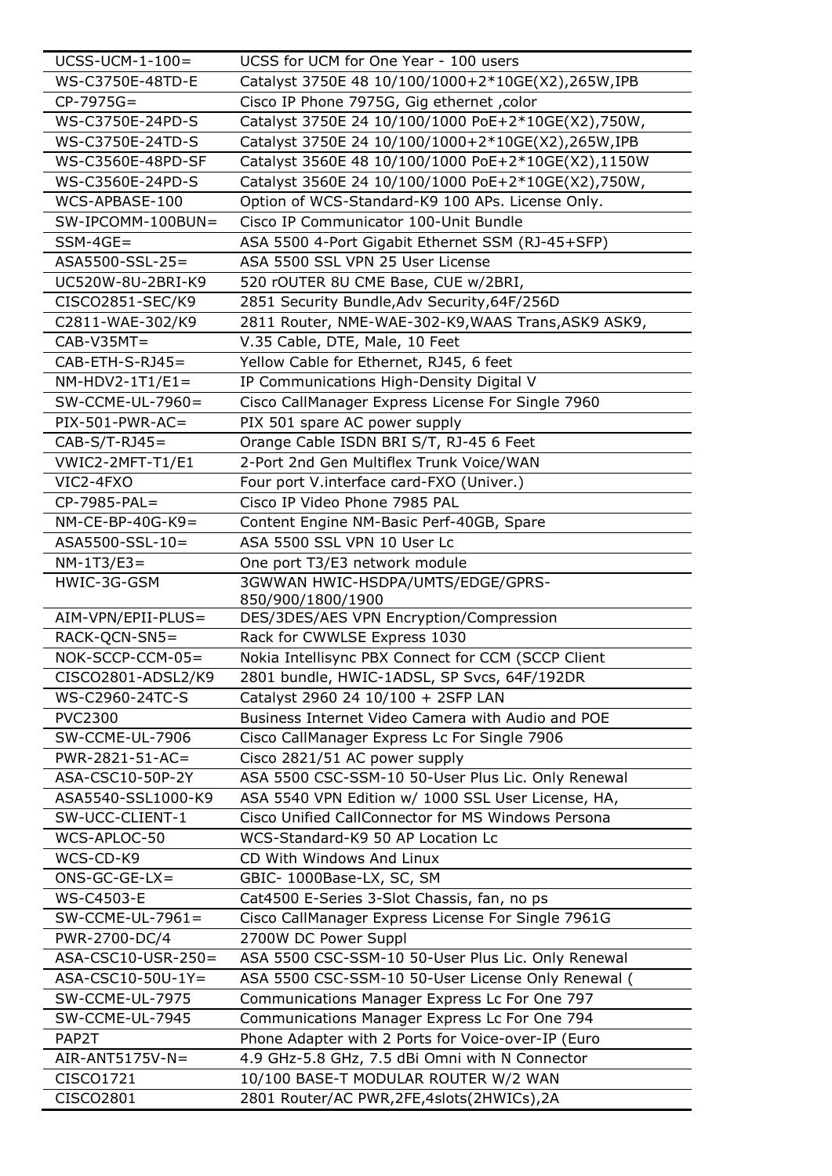| $UCSS-UCM-1-100=$   | UCSS for UCM for One Year - 100 users                                                                    |
|---------------------|----------------------------------------------------------------------------------------------------------|
| WS-C3750E-48TD-E    | Catalyst 3750E 48 10/100/1000+2*10GE(X2),265W,IPB                                                        |
| $CP-7975G=$         | Cisco IP Phone 7975G, Gig ethernet, color                                                                |
| WS-C3750E-24PD-S    | Catalyst 3750E 24 10/100/1000 PoE+2*10GE(X2),750W,                                                       |
| WS-C3750E-24TD-S    | Catalyst 3750E 24 10/100/1000+2*10GE(X2),265W,IPB                                                        |
| WS-C3560E-48PD-SF   | Catalyst 3560E 48 10/100/1000 PoE+2*10GE(X2),1150W                                                       |
| WS-C3560E-24PD-S    | Catalyst 3560E 24 10/100/1000 PoE+2*10GE(X2),750W,                                                       |
| WCS-APBASE-100      | Option of WCS-Standard-K9 100 APs. License Only.                                                         |
| SW-IPCOMM-100BUN=   | Cisco IP Communicator 100-Unit Bundle                                                                    |
| $SSM-4GE=$          | ASA 5500 4-Port Gigabit Ethernet SSM (RJ-45+SFP)                                                         |
| ASA5500-SSL-25=     | ASA 5500 SSL VPN 25 User License                                                                         |
| UC520W-8U-2BRI-K9   | 520 rOUTER 8U CME Base, CUE w/2BRI,                                                                      |
| CISCO2851-SEC/K9    | 2851 Security Bundle, Adv Security, 64F/256D                                                             |
| C2811-WAE-302/K9    | 2811 Router, NME-WAE-302-K9, WAAS Trans, ASK9 ASK9,                                                      |
| $CAB-V35MT=$        | V.35 Cable, DTE, Male, 10 Feet                                                                           |
| $CAB-ETH-S-RJ45=$   | Yellow Cable for Ethernet, RJ45, 6 feet                                                                  |
| $NM-HDV2-1T1/E1=$   | IP Communications High-Density Digital V                                                                 |
| $SW$ -CCME-UL-7960= | Cisco CallManager Express License For Single 7960                                                        |
| $PIX-501-PWR-AC=$   | PIX 501 spare AC power supply                                                                            |
| $CAB-S/T-RJ45=$     | Orange Cable ISDN BRI S/T, RJ-45 6 Feet                                                                  |
| VWIC2-2MFT-T1/E1    | 2-Port 2nd Gen Multiflex Trunk Voice/WAN                                                                 |
| VIC2-4FXO           | Four port V.interface card-FXO (Univer.)                                                                 |
| CP-7985-PAL=        | Cisco IP Video Phone 7985 PAL                                                                            |
|                     |                                                                                                          |
| $NM$ -CE-BP-40G-K9= | Content Engine NM-Basic Perf-40GB, Spare                                                                 |
| ASA5500-SSL-10=     | ASA 5500 SSL VPN 10 User Lc                                                                              |
| $NM-1T3/E3=$        | One port T3/E3 network module                                                                            |
| HWIC-3G-GSM         | 3GWWAN HWIC-HSDPA/UMTS/EDGE/GPRS-<br>850/900/1800/1900                                                   |
| AIM-VPN/EPII-PLUS=  | DES/3DES/AES VPN Encryption/Compression                                                                  |
| RACK-QCN-SN5=       | Rack for CWWLSE Express 1030                                                                             |
| NOK-SCCP-CCM-05=    | Nokia Intellisync PBX Connect for CCM (SCCP Client                                                       |
| CISCO2801-ADSL2/K9  | 2801 bundle, HWIC-1ADSL, SP Svcs, 64F/192DR                                                              |
| WS-C2960-24TC-S     | Catalyst 2960 24 10/100 + 2SFP LAN                                                                       |
| <b>PVC2300</b>      | Business Internet Video Camera with Audio and POE                                                        |
| SW-CCME-UL-7906     | Cisco CallManager Express Lc For Single 7906                                                             |
| $PWR-2821-51-AC=$   | Cisco 2821/51 AC power supply                                                                            |
| ASA-CSC10-50P-2Y    | ASA 5500 CSC-SSM-10 50-User Plus Lic. Only Renewal                                                       |
| ASA5540-SSL1000-K9  |                                                                                                          |
| SW-UCC-CLIENT-1     | ASA 5540 VPN Edition w/ 1000 SSL User License, HA,<br>Cisco Unified CallConnector for MS Windows Persona |
| WCS-APLOC-50        | WCS-Standard-K9 50 AP Location Lc                                                                        |
|                     |                                                                                                          |
| WCS-CD-K9           | CD With Windows And Linux                                                                                |
| $ONS-GC-GE-LX =$    | GBIC- 1000Base-LX, SC, SM                                                                                |
| WS-C4503-E          | Cat4500 E-Series 3-Slot Chassis, fan, no ps                                                              |
| $SW-CCME-UL-7961=$  | Cisco CallManager Express License For Single 7961G                                                       |
| PWR-2700-DC/4       | 2700W DC Power Suppl                                                                                     |
| ASA-CSC10-USR-250=  | ASA 5500 CSC-SSM-10 50-User Plus Lic. Only Renewal                                                       |
| ASA-CSC10-50U-1Y=   | ASA 5500 CSC-SSM-10 50-User License Only Renewal (                                                       |
| SW-CCME-UL-7975     | Communications Manager Express Lc For One 797                                                            |
| SW-CCME-UL-7945     | Communications Manager Express Lc For One 794                                                            |
| PAP2T               | Phone Adapter with 2 Ports for Voice-over-IP (Euro                                                       |
| $AIR-ANT5175V-N=$   | 4.9 GHz-5.8 GHz, 7.5 dBi Omni with N Connector                                                           |
| CISCO1721           | 10/100 BASE-T MODULAR ROUTER W/2 WAN                                                                     |
| CISCO2801           | 2801 Router/AC PWR, 2FE, 4slots (2HWICs), 2A                                                             |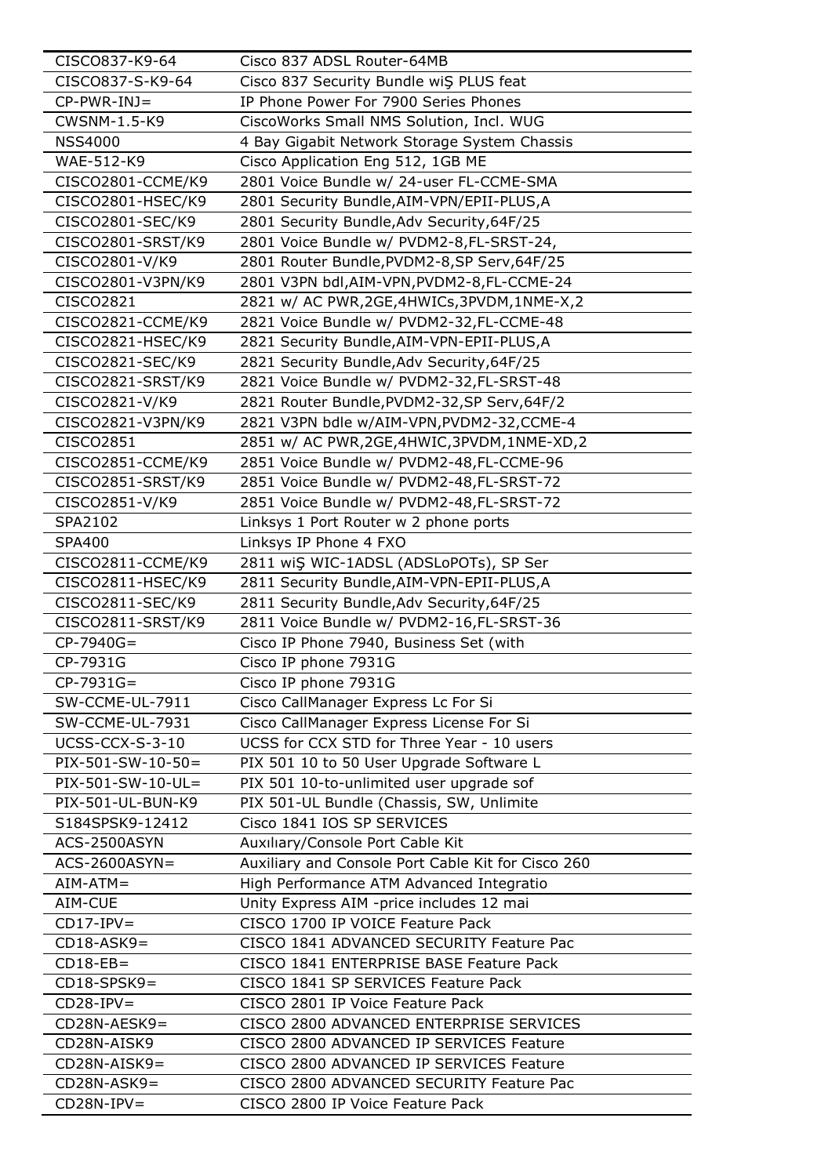| CISCO837-K9-64      | Cisco 837 ADSL Router-64MB                         |
|---------------------|----------------------------------------------------|
| CISCO837-S-K9-64    | Cisco 837 Security Bundle wiŞ PLUS feat            |
| $CP-PWR-INJ=$       | IP Phone Power For 7900 Series Phones              |
| CWSNM-1.5-K9        | CiscoWorks Small NMS Solution, Incl. WUG           |
| <b>NSS4000</b>      | 4 Bay Gigabit Network Storage System Chassis       |
| WAE-512-K9          | Cisco Application Eng 512, 1GB ME                  |
| CISCO2801-CCME/K9   | 2801 Voice Bundle w/ 24-user FL-CCME-SMA           |
| CISCO2801-HSEC/K9   | 2801 Security Bundle, AIM-VPN/EPII-PLUS, A         |
| CISCO2801-SEC/K9    | 2801 Security Bundle, Adv Security, 64F/25         |
| CISCO2801-SRST/K9   | 2801 Voice Bundle w/ PVDM2-8,FL-SRST-24,           |
| CISCO2801-V/K9      | 2801 Router Bundle, PVDM2-8, SP Serv, 64F/25       |
| CISCO2801-V3PN/K9   | 2801 V3PN bdl, AIM-VPN, PVDM2-8, FL-CCME-24        |
| CISCO2821           | 2821 w/ AC PWR, 2GE, 4HWICs, 3PVDM, 1NME-X, 2      |
| CISCO2821-CCME/K9   | 2821 Voice Bundle w/ PVDM2-32,FL-CCME-48           |
| CISCO2821-HSEC/K9   | 2821 Security Bundle, AIM-VPN-EPII-PLUS, A         |
| CISCO2821-SEC/K9    | 2821 Security Bundle, Adv Security, 64F/25         |
| CISCO2821-SRST/K9   | 2821 Voice Bundle w/ PVDM2-32,FL-SRST-48           |
| CISCO2821-V/K9      | 2821 Router Bundle, PVDM2-32, SP Serv, 64F/2       |
| CISCO2821-V3PN/K9   | 2821 V3PN bdle w/AIM-VPN, PVDM2-32, CCME-4         |
| CISCO2851           | 2851 w/ AC PWR,2GE,4HWIC,3PVDM,1NME-XD,2           |
| CISCO2851-CCME/K9   | 2851 Voice Bundle w/ PVDM2-48,FL-CCME-96           |
| CISCO2851-SRST/K9   | 2851 Voice Bundle w/ PVDM2-48,FL-SRST-72           |
| CISCO2851-V/K9      | 2851 Voice Bundle w/ PVDM2-48,FL-SRST-72           |
| SPA2102             | Linksys 1 Port Router w 2 phone ports              |
| <b>SPA400</b>       | Linksys IP Phone 4 FXO                             |
| CISCO2811-CCME/K9   | 2811 wiŞ WIC-1ADSL (ADSLoPOTs), SP Ser             |
| CISCO2811-HSEC/K9   | 2811 Security Bundle, AIM-VPN-EPII-PLUS, A         |
| CISCO2811-SEC/K9    | 2811 Security Bundle, Adv Security, 64F/25         |
| CISCO2811-SRST/K9   | 2811 Voice Bundle w/ PVDM2-16,FL-SRST-36           |
| $CP-7940G=$         | Cisco IP Phone 7940, Business Set (with            |
| CP-7931G            | Cisco IP phone 7931G                               |
| $CP-7931G=$         | Cisco IP phone 7931G                               |
| SW-CCME-UL-7911     | Cisco CallManager Express Lc For Si                |
| SW-CCME-UL-7931     | Cisco CallManager Express License For Si           |
| UCSS-CCX-S-3-10     | UCSS for CCX STD for Three Year - 10 users         |
| $PIX-501-SW-10-50=$ | PIX 501 10 to 50 User Upgrade Software L           |
| PIX-501-SW-10-UL=   | PIX 501 10-to-unlimited user upgrade sof           |
| PIX-501-UL-BUN-K9   | PIX 501-UL Bundle (Chassis, SW, Unlimite           |
| S184SPSK9-12412     | Cisco 1841 IOS SP SERVICES                         |
| ACS-2500ASYN        | Auxiliary/Console Port Cable Kit                   |
| $ACS-2600ASYN=$     | Auxiliary and Console Port Cable Kit for Cisco 260 |
| $AIM-ATM =$         | High Performance ATM Advanced Integratio           |
| AIM-CUE             | Unity Express AIM -price includes 12 mai           |
| $CD17-IPV=$         | CISCO 1700 IP VOICE Feature Pack                   |
| $CD18-ASK9=$        | CISCO 1841 ADVANCED SECURITY Feature Pac           |
| $CD18-EB=$          | CISCO 1841 ENTERPRISE BASE Feature Pack            |
| $CD18-SPSK9=$       | CISCO 1841 SP SERVICES Feature Pack                |
| $CD28-IPV=$         | CISCO 2801 IP Voice Feature Pack                   |
| CD28N-AESK9=        | CISCO 2800 ADVANCED ENTERPRISE SERVICES            |
| CD28N-AISK9         | CISCO 2800 ADVANCED IP SERVICES Feature            |
| CD28N-AISK9=        | CISCO 2800 ADVANCED IP SERVICES Feature            |
| $CD28N-ASK9=$       | CISCO 2800 ADVANCED SECURITY Feature Pac           |
| $CD28N-IPV=$        | CISCO 2800 IP Voice Feature Pack                   |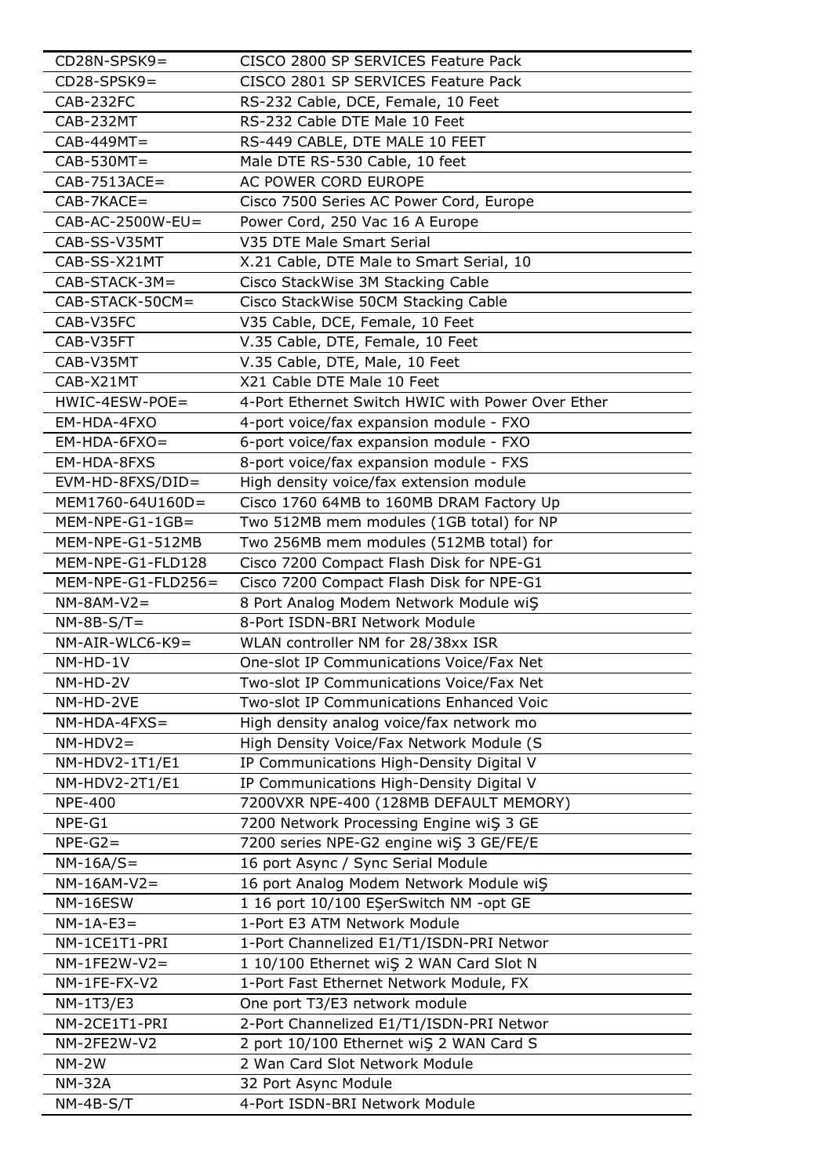| CD28N-SPSK9=         | CISCO 2800 SP SERVICES Feature Pack               |
|----------------------|---------------------------------------------------|
| $CD28-SPSK9=$        | CISCO 2801 SP SERVICES Feature Pack               |
| CAB-232FC            | RS-232 Cable, DCE, Female, 10 Feet                |
| CAB-232MT            | RS-232 Cable DTE Male 10 Feet                     |
| $CAB-449MT=$         | RS-449 CABLE, DTE MALE 10 FEET                    |
| $CAB-530MT=$         | Male DTE RS-530 Cable, 10 feet                    |
| $CAB-7513ACE=$       | AC POWER CORD EUROPE                              |
| CAB-7KACE=           | Cisco 7500 Series AC Power Cord, Europe           |
| $CAB-AC-2500W-EU=$   | Power Cord, 250 Vac 16 A Europe                   |
| CAB-SS-V35MT         | V35 DTE Male Smart Serial                         |
| CAB-SS-X21MT         | X.21 Cable, DTE Male to Smart Serial, 10          |
| $CAB-STACK-3M=$      | Cisco StackWise 3M Stacking Cable                 |
| CAB-STACK-50CM=      | Cisco StackWise 50CM Stacking Cable               |
| CAB-V35FC            | V35 Cable, DCE, Female, 10 Feet                   |
| CAB-V35FT            | V.35 Cable, DTE, Female, 10 Feet                  |
| CAB-V35MT            | V.35 Cable, DTE, Male, 10 Feet                    |
| CAB-X21MT            | X21 Cable DTE Male 10 Feet                        |
| HWIC-4ESW-POE=       | 4-Port Ethernet Switch HWIC with Power Over Ether |
| EM-HDA-4FXO          | 4-port voice/fax expansion module - FXO           |
| $EM-HDA-6FXO=$       | 6-port voice/fax expansion module - FXO           |
| EM-HDA-8FXS          | 8-port voice/fax expansion module - FXS           |
| EVM-HD-8FXS/DID=     | High density voice/fax extension module           |
| MEM1760-64U160D=     | Cisco 1760 64MB to 160MB DRAM Factory Up          |
| $MEM-NPE-G1-1GB=$    | Two 512MB mem modules (1GB total) for NP          |
| MEM-NPE-G1-512MB     | Two 256MB mem modules (512MB total) for           |
| MEM-NPE-G1-FLD128    | Cisco 7200 Compact Flash Disk for NPE-G1          |
| $MEM-NPE-G1-FLD256=$ | Cisco 7200 Compact Flash Disk for NPE-G1          |
| $NM-8AM-V2=$         | 8 Port Analog Modem Network Module wiŞ            |
| $NM-8B-S/T=$         | 8-Port ISDN-BRI Network Module                    |
| $NM-AIR-WLC6-K9=$    | WLAN controller NM for 28/38xx ISR                |
| NM-HD-1V             | One-slot IP Communications Voice/Fax Net          |
| NM-HD-2V             | Two-slot IP Communications Voice/Fax Net          |
| NM-HD-2VE            | Two-slot IP Communications Enhanced Voic          |
| $NM-HDA-4FXS=$       | High density analog voice/fax network mo          |
| $NM-HDV2=$           | High Density Voice/Fax Network Module (S          |
| NM-HDV2-1T1/E1       | IP Communications High-Density Digital V          |
| NM-HDV2-2T1/E1       | IP Communications High-Density Digital V          |
| <b>NPE-400</b>       | 7200VXR NPE-400 (128MB DEFAULT MEMORY)            |
| NPE-G1               | 7200 Network Processing Engine wiŞ 3 GE           |
| $NPE-G2=$            | 7200 series NPE-G2 engine wiŞ 3 GE/FE/E           |
| $NM-16A/S=$          | 16 port Async / Sync Serial Module                |
| $NM-16AM-V2=$        | 16 port Analog Modem Network Module wiS           |
| NM-16ESW             | 1 16 port 10/100 ESerSwitch NM -opt GE            |
| $NM-1A-E3=$          | 1-Port E3 ATM Network Module                      |
| NM-1CE1T1-PRI        | 1-Port Channelized E1/T1/ISDN-PRI Networ          |
| $NM-1FE2W-V2=$       | 1 10/100 Ethernet wiŞ 2 WAN Card Slot N           |
| NM-1FE-FX-V2         | 1-Port Fast Ethernet Network Module, FX           |
| NM-1T3/E3            | One port T3/E3 network module                     |
| NM-2CE1T1-PRI        | 2-Port Channelized E1/T1/ISDN-PRI Networ          |
| NM-2FE2W-V2          | 2 port 10/100 Ethernet wiŞ 2 WAN Card S           |
| $NM-2W$              | 2 Wan Card Slot Network Module                    |
| <b>NM-32A</b>        | 32 Port Async Module                              |
| $NM-4B-S/T$          | 4-Port ISDN-BRI Network Module                    |
|                      |                                                   |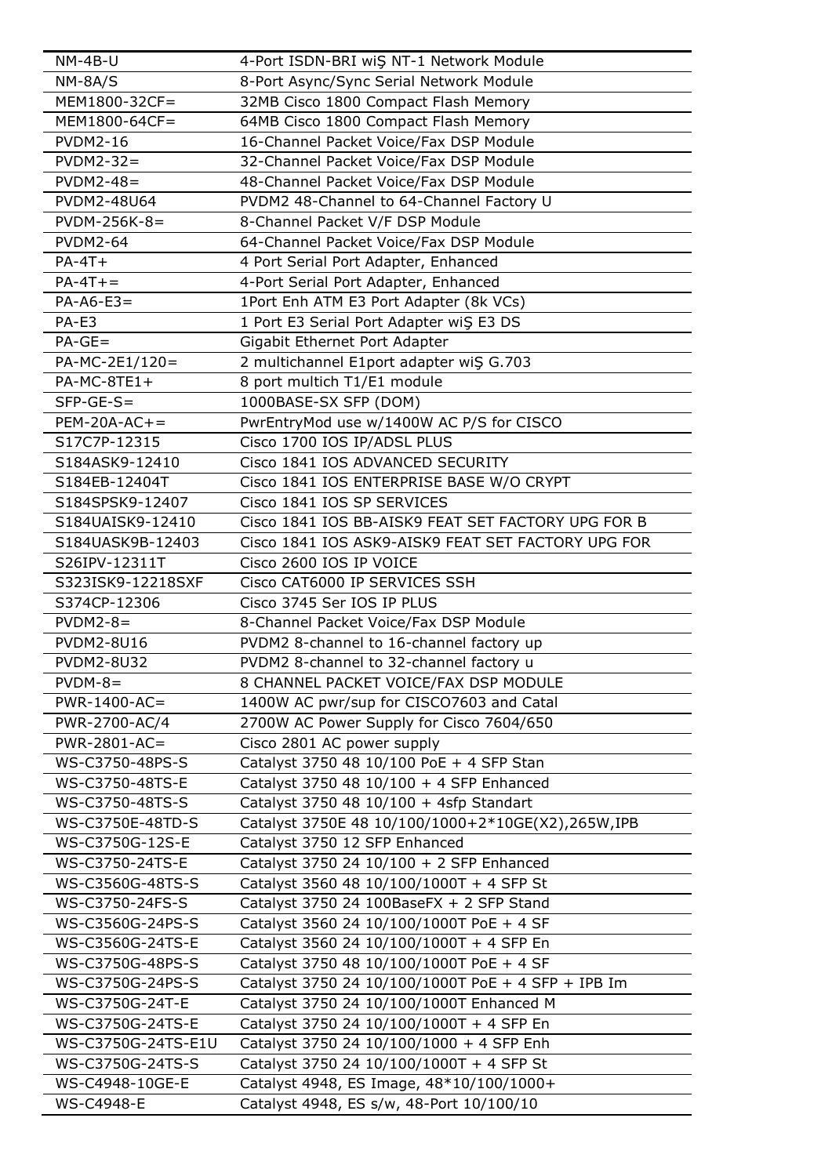| NM-4B-U                  | 4-Port ISDN-BRI wiŞ NT-1 Network Module                                           |
|--------------------------|-----------------------------------------------------------------------------------|
| $NM-8A/S$                | 8-Port Async/Sync Serial Network Module                                           |
| MEM1800-32CF=            | 32MB Cisco 1800 Compact Flash Memory                                              |
| MEM1800-64CF=            | 64MB Cisco 1800 Compact Flash Memory                                              |
| <b>PVDM2-16</b>          | 16-Channel Packet Voice/Fax DSP Module                                            |
| $PVDM2-32=$              | 32-Channel Packet Voice/Fax DSP Module                                            |
| $PVDM2-48=$              | 48-Channel Packet Voice/Fax DSP Module                                            |
| PVDM2-48U64              | PVDM2 48-Channel to 64-Channel Factory U                                          |
| $PVDM-256K-8=$           | 8-Channel Packet V/F DSP Module                                                   |
| <b>PVDM2-64</b>          | 64-Channel Packet Voice/Fax DSP Module                                            |
| $PA-4T+$                 | 4 Port Serial Port Adapter, Enhanced                                              |
| $PA-4T +=$               | 4-Port Serial Port Adapter, Enhanced                                              |
| $PA-AG-E3=$              | 1Port Enh ATM E3 Port Adapter (8k VCs)                                            |
| PA-E3                    | 1 Port E3 Serial Port Adapter wiS E3 DS                                           |
| $PA-GE=$                 | Gigabit Ethernet Port Adapter                                                     |
| $PA-MC-2E1/120=$         | 2 multichannel E1port adapter wiŞ G.703                                           |
| $PA-MC-8TE1+$            | 8 port multich T1/E1 module                                                       |
| $SFP-GE-S=$              | 1000BASE-SX SFP (DOM)                                                             |
| $PEM-20A-AC +=$          | PwrEntryMod use w/1400W AC P/S for CISCO                                          |
| S17C7P-12315             | Cisco 1700 IOS IP/ADSL PLUS                                                       |
| S184ASK9-12410           | Cisco 1841 IOS ADVANCED SECURITY                                                  |
| S184EB-12404T            | Cisco 1841 IOS ENTERPRISE BASE W/O CRYPT                                          |
| S184SPSK9-12407          | Cisco 1841 IOS SP SERVICES                                                        |
|                          |                                                                                   |
| S184UAISK9-12410         | Cisco 1841 IOS BB-AISK9 FEAT SET FACTORY UPG FOR B                                |
| S184UASK9B-12403         | Cisco 1841 IOS ASK9-AISK9 FEAT SET FACTORY UPG FOR                                |
| S26IPV-12311T            | Cisco 2600 IOS IP VOICE                                                           |
| S323ISK9-12218SXF        | Cisco CAT6000 IP SERVICES SSH                                                     |
| S374CP-12306             | Cisco 3745 Ser IOS IP PLUS                                                        |
| $PVDM2-8=$<br>PVDM2-8U16 | 8-Channel Packet Voice/Fax DSP Module                                             |
|                          | PVDM2 8-channel to 16-channel factory up                                          |
| <b>PVDM2-8U32</b>        | PVDM2 8-channel to 32-channel factory u                                           |
| $PVDM-8=$                | 8 CHANNEL PACKET VOICE/FAX DSP MODULE<br>1400W AC pwr/sup for CISCO7603 and Catal |
| $PWR-1400-AC=$           |                                                                                   |
| PWR-2700-AC/4            | 2700W AC Power Supply for Cisco 7604/650                                          |
| PWR-2801-AC=             | Cisco 2801 AC power supply                                                        |
| WS-C3750-48PS-S          | Catalyst 3750 48 10/100 PoE + 4 SFP Stan                                          |
| WS-C3750-48TS-E          | Catalyst 3750 48 10/100 + 4 SFP Enhanced                                          |
| WS-C3750-48TS-S          | Catalyst 3750 48 10/100 + 4sfp Standart                                           |
| WS-C3750E-48TD-S         | Catalyst 3750E 48 10/100/1000+2*10GE(X2),265W,IPB                                 |
| WS-C3750G-12S-E          | Catalyst 3750 12 SFP Enhanced                                                     |
| WS-C3750-24TS-E          | Catalyst 3750 24 10/100 + 2 SFP Enhanced                                          |
| WS-C3560G-48TS-S         | Catalyst 3560 48 10/100/1000T + 4 SFP St                                          |
| WS-C3750-24FS-S          | Catalyst 3750 24 100BaseFX $+$ 2 SFP Stand                                        |
| WS-C3560G-24PS-S         | Catalyst 3560 24 10/100/1000T PoE + 4 SF                                          |
| WS-C3560G-24TS-E         | Catalyst 3560 24 10/100/1000T + 4 SFP En                                          |
| WS-C3750G-48PS-S         | Catalyst 3750 48 10/100/1000T PoE + 4 SF                                          |
| WS-C3750G-24PS-S         | Catalyst 3750 24 10/100/1000T PoE + 4 SFP + IPB Im                                |
| WS-C3750G-24T-E          | Catalyst 3750 24 10/100/1000T Enhanced M                                          |
| WS-C3750G-24TS-E         | Catalyst 3750 24 10/100/1000T + 4 SFP En                                          |
| WS-C3750G-24TS-E1U       | Catalyst 3750 24 10/100/1000 + 4 SFP Enh                                          |
| WS-C3750G-24TS-S         | Catalyst 3750 24 10/100/1000T + 4 SFP St                                          |
| WS-C4948-10GE-E          | Catalyst 4948, ES Image, 48*10/100/1000+                                          |
| <b>WS-C4948-E</b>        | Catalyst 4948, ES s/w, 48-Port 10/100/10                                          |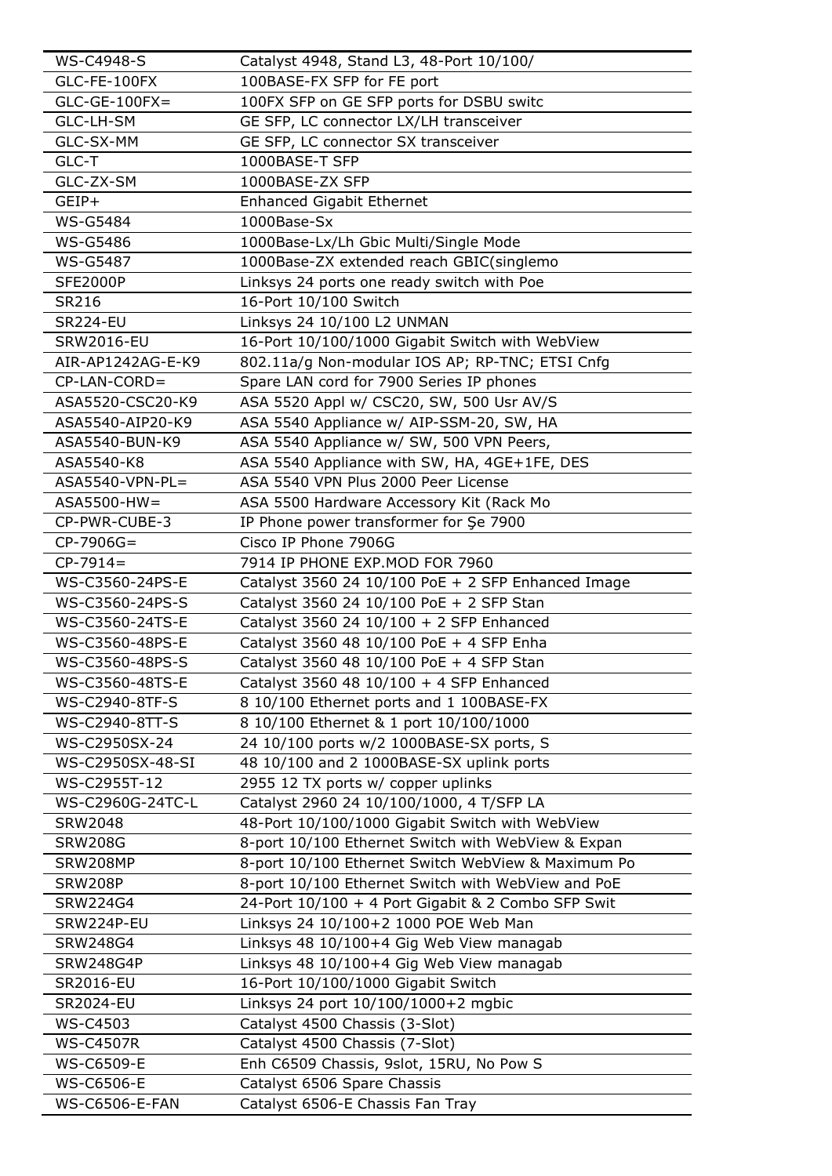| <b>WS-C4948-S</b>     | Catalyst 4948, Stand L3, 48-Port 10/100/           |
|-----------------------|----------------------------------------------------|
| GLC-FE-100FX          | 100BASE-FX SFP for FE port                         |
| $GLC-GE-100FX =$      | 100FX SFP on GE SFP ports for DSBU switc           |
| GLC-LH-SM             | GE SFP, LC connector LX/LH transceiver             |
| GLC-SX-MM             | GE SFP, LC connector SX transceiver                |
| GLC-T                 | 1000BASE-T SFP                                     |
| GLC-ZX-SM             | 1000BASE-ZX SFP                                    |
| GEIP+                 | <b>Enhanced Gigabit Ethernet</b>                   |
| <b>WS-G5484</b>       | 1000Base-Sx                                        |
| <b>WS-G5486</b>       | 1000Base-Lx/Lh Gbic Multi/Single Mode              |
| <b>WS-G5487</b>       | 1000Base-ZX extended reach GBIC(singlemo           |
| <b>SFE2000P</b>       | Linksys 24 ports one ready switch with Poe         |
| SR216                 | 16-Port 10/100 Switch                              |
| <b>SR224-EU</b>       | Linksys 24 10/100 L2 UNMAN                         |
| <b>SRW2016-EU</b>     | 16-Port 10/100/1000 Gigabit Switch with WebView    |
| AIR-AP1242AG-E-K9     | 802.11a/g Non-modular IOS AP; RP-TNC; ETSI Cnfg    |
| $CP$ -LAN-CORD=       | Spare LAN cord for 7900 Series IP phones           |
| ASA5520-CSC20-K9      | ASA 5520 Appl w/ CSC20, SW, 500 Usr AV/S           |
| ASA5540-AIP20-K9      | ASA 5540 Appliance w/ AIP-SSM-20, SW, HA           |
| ASA5540-BUN-K9        | ASA 5540 Appliance w/ SW, 500 VPN Peers,           |
| ASA5540-K8            | ASA 5540 Appliance with SW, HA, 4GE+1FE, DES       |
| ASA5540-VPN-PL=       | ASA 5540 VPN Plus 2000 Peer License                |
| $ASA5500-HW =$        | ASA 5500 Hardware Accessory Kit (Rack Mo           |
| CP-PWR-CUBE-3         | IP Phone power transformer for Şe 7900             |
| $CP-7906G=$           | Cisco IP Phone 7906G                               |
| $CP-7914=$            | 7914 IP PHONE EXP.MOD FOR 7960                     |
| WS-C3560-24PS-E       | Catalyst 3560 24 10/100 PoE + 2 SFP Enhanced Image |
| WS-C3560-24PS-S       | Catalyst 3560 24 10/100 PoE + 2 SFP Stan           |
| WS-C3560-24TS-E       | Catalyst 3560 24 10/100 + 2 SFP Enhanced           |
| WS-C3560-48PS-E       | Catalyst 3560 48 10/100 PoE + 4 SFP Enha           |
| WS-C3560-48PS-S       | Catalyst 3560 48 10/100 PoE + 4 SFP Stan           |
| WS-C3560-48TS-E       | Catalyst 3560 48 10/100 + 4 SFP Enhanced           |
| WS-C2940-8TF-S        | 8 10/100 Ethernet ports and 1 100BASE-FX           |
| WS-C2940-8TT-S        | 8 10/100 Ethernet & 1 port 10/100/1000             |
| WS-C2950SX-24         | 24 10/100 ports w/2 1000BASE-SX ports, S           |
| WS-C2950SX-48-SI      | 48 10/100 and 2 1000BASE-SX uplink ports           |
| WS-C2955T-12          | 2955 12 TX ports w/ copper uplinks                 |
| WS-C2960G-24TC-L      | Catalyst 2960 24 10/100/1000, 4 T/SFP LA           |
| <b>SRW2048</b>        | 48-Port 10/100/1000 Gigabit Switch with WebView    |
| <b>SRW208G</b>        | 8-port 10/100 Ethernet Switch with WebView & Expan |
| SRW208MP              | 8-port 10/100 Ethernet Switch WebView & Maximum Po |
| <b>SRW208P</b>        | 8-port 10/100 Ethernet Switch with WebView and PoE |
| SRW224G4              | 24-Port 10/100 + 4 Port Gigabit & 2 Combo SFP Swit |
| SRW224P-EU            | Linksys 24 10/100+2 1000 POE Web Man               |
| SRW248G4              | Linksys 48 10/100+4 Gig Web View managab           |
| <b>SRW248G4P</b>      | Linksys 48 10/100+4 Gig Web View managab           |
| <b>SR2016-EU</b>      | 16-Port 10/100/1000 Gigabit Switch                 |
| <b>SR2024-EU</b>      | Linksys 24 port 10/100/1000+2 mgbic                |
| <b>WS-C4503</b>       | Catalyst 4500 Chassis (3-Slot)                     |
| <b>WS-C4507R</b>      | Catalyst 4500 Chassis (7-Slot)                     |
| <b>WS-C6509-E</b>     | Enh C6509 Chassis, 9slot, 15RU, No Pow S           |
| <b>WS-C6506-E</b>     | Catalyst 6506 Spare Chassis                        |
| <b>WS-C6506-E-FAN</b> | Catalyst 6506-E Chassis Fan Tray                   |
|                       |                                                    |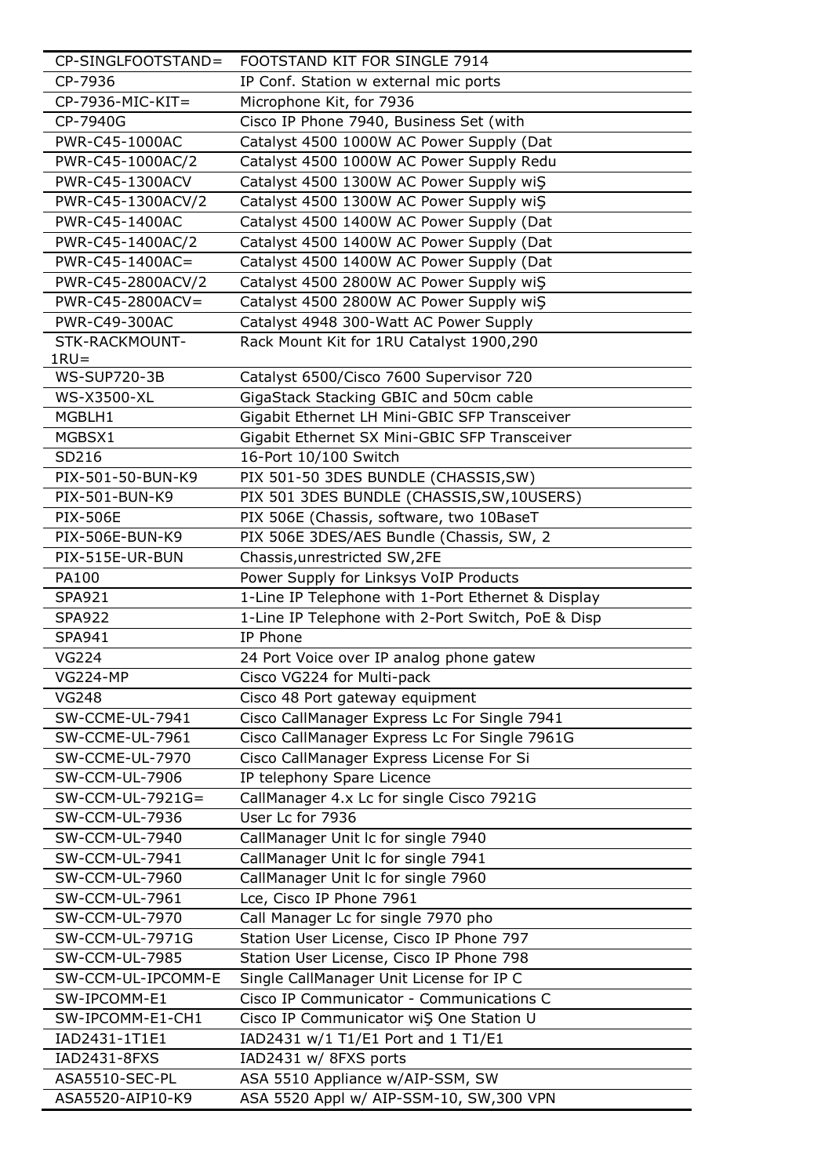| CP-SINGLFOOTSTAND=     | FOOTSTAND KIT FOR SINGLE 7914                      |
|------------------------|----------------------------------------------------|
| CP-7936                | IP Conf. Station w external mic ports              |
| $CP-7936-MIC-KIT =$    | Microphone Kit, for 7936                           |
| CP-7940G               | Cisco IP Phone 7940, Business Set (with            |
| PWR-C45-1000AC         | Catalyst 4500 1000W AC Power Supply (Dat           |
| PWR-C45-1000AC/2       | Catalyst 4500 1000W AC Power Supply Redu           |
| PWR-C45-1300ACV        | Catalyst 4500 1300W AC Power Supply wiS            |
| PWR-C45-1300ACV/2      | Catalyst 4500 1300W AC Power Supply wiS            |
| PWR-C45-1400AC         | Catalyst 4500 1400W AC Power Supply (Dat           |
| PWR-C45-1400AC/2       | Catalyst 4500 1400W AC Power Supply (Dat           |
| PWR-C45-1400AC=        | Catalyst 4500 1400W AC Power Supply (Dat           |
| PWR-C45-2800ACV/2      | Catalyst 4500 2800W AC Power Supply wiŞ            |
| PWR-C45-2800ACV=       | Catalyst 4500 2800W AC Power Supply wiS            |
| PWR-C49-300AC          | Catalyst 4948 300-Watt AC Power Supply             |
| STK-RACKMOUNT-         | Rack Mount Kit for 1RU Catalyst 1900,290           |
| $1RU =$                |                                                    |
| <b>WS-SUP720-3B</b>    | Catalyst 6500/Cisco 7600 Supervisor 720            |
| <b>WS-X3500-XL</b>     | GigaStack Stacking GBIC and 50cm cable             |
| MGBLH1                 | Gigabit Ethernet LH Mini-GBIC SFP Transceiver      |
| MGBSX1                 | Gigabit Ethernet SX Mini-GBIC SFP Transceiver      |
| SD216                  | 16-Port 10/100 Switch                              |
| PIX-501-50-BUN-K9      | PIX 501-50 3DES BUNDLE (CHASSIS, SW)               |
| PIX-501-BUN-K9         | PIX 501 3DES BUNDLE (CHASSIS, SW, 10USERS)         |
| <b>PIX-506E</b>        | PIX 506E (Chassis, software, two 10BaseT           |
| PIX-506E-BUN-K9        | PIX 506E 3DES/AES Bundle (Chassis, SW, 2           |
| PIX-515E-UR-BUN        | Chassis, unrestricted SW, 2FE                      |
| PA100                  | Power Supply for Linksys VoIP Products             |
| SPA921                 | 1-Line IP Telephone with 1-Port Ethernet & Display |
| <b>SPA922</b>          | 1-Line IP Telephone with 2-Port Switch, PoE & Disp |
| SPA941                 | IP Phone                                           |
| <b>VG224</b>           | 24 Port Voice over IP analog phone gatew           |
| <b>VG224-MP</b>        | Cisco VG224 for Multi-pack                         |
| VG248                  | Cisco 48 Port gateway equipment                    |
| SW-CCME-UL-7941        | Cisco CallManager Express Lc For Single 7941       |
| SW-CCME-UL-7961        | Cisco CallManager Express Lc For Single 7961G      |
| <b>SW-CCME-UL-7970</b> | Cisco CallManager Express License For Si           |
| SW-CCM-UL-7906         | IP telephony Spare Licence                         |
| $SW-CCM-UL-7921G=$     | CallManager 4.x Lc for single Cisco 7921G          |
| <b>SW-CCM-UL-7936</b>  | User Lc for 7936                                   |
| SW-CCM-UL-7940         | CallManager Unit Ic for single 7940                |
| SW-CCM-UL-7941         | CallManager Unit Ic for single 7941                |
| SW-CCM-UL-7960         | CallManager Unit Ic for single 7960                |
| SW-CCM-UL-7961         | Lce, Cisco IP Phone 7961                           |
| SW-CCM-UL-7970         | Call Manager Lc for single 7970 pho                |
| <b>SW-CCM-UL-7971G</b> | Station User License, Cisco IP Phone 797           |
| <b>SW-CCM-UL-7985</b>  | Station User License, Cisco IP Phone 798           |
| SW-CCM-UL-IPCOMM-E     | Single CallManager Unit License for IP C           |
| SW-IPCOMM-E1           | Cisco IP Communicator - Communications C           |
| SW-IPCOMM-E1-CH1       | Cisco IP Communicator wiŞ One Station U            |
| IAD2431-1T1E1          | IAD2431 w/1 T1/E1 Port and 1 T1/E1                 |
| IAD2431-8FXS           | IAD2431 w/ 8FXS ports                              |
| ASA5510-SEC-PL         | ASA 5510 Appliance w/AIP-SSM, SW                   |
| ASA5520-AIP10-K9       | ASA 5520 Appl w/ AIP-SSM-10, SW,300 VPN            |